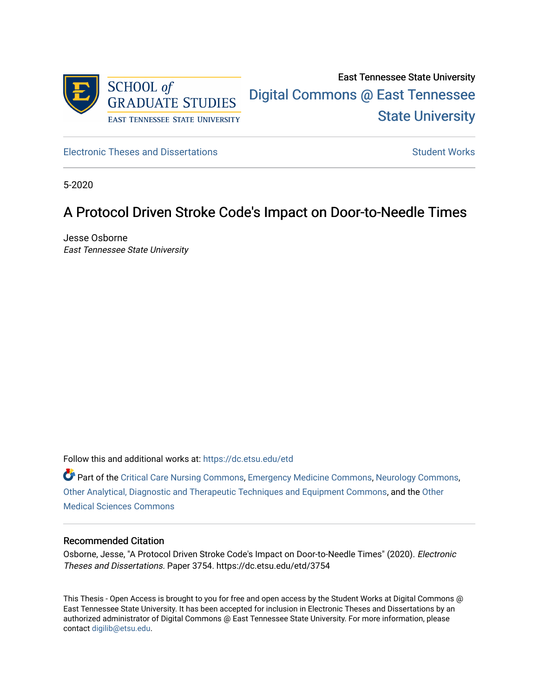

[Electronic Theses and Dissertations](https://dc.etsu.edu/etd) [Student Works](https://dc.etsu.edu/student-works) Student Works

5-2020

# A Protocol Driven Stroke Code's Impact on Door-to-Needle Times

Jesse Osborne East Tennessee State University

Follow this and additional works at: [https://dc.etsu.edu/etd](https://dc.etsu.edu/etd?utm_source=dc.etsu.edu%2Fetd%2F3754&utm_medium=PDF&utm_campaign=PDFCoverPages)

Part of the [Critical Care Nursing Commons](http://network.bepress.com/hgg/discipline/727?utm_source=dc.etsu.edu%2Fetd%2F3754&utm_medium=PDF&utm_campaign=PDFCoverPages), [Emergency Medicine Commons,](http://network.bepress.com/hgg/discipline/685?utm_source=dc.etsu.edu%2Fetd%2F3754&utm_medium=PDF&utm_campaign=PDFCoverPages) [Neurology Commons](http://network.bepress.com/hgg/discipline/692?utm_source=dc.etsu.edu%2Fetd%2F3754&utm_medium=PDF&utm_campaign=PDFCoverPages), [Other Analytical, Diagnostic and Therapeutic Techniques and Equipment Commons,](http://network.bepress.com/hgg/discipline/994?utm_source=dc.etsu.edu%2Fetd%2F3754&utm_medium=PDF&utm_campaign=PDFCoverPages) and the [Other](http://network.bepress.com/hgg/discipline/679?utm_source=dc.etsu.edu%2Fetd%2F3754&utm_medium=PDF&utm_campaign=PDFCoverPages) [Medical Sciences Commons](http://network.bepress.com/hgg/discipline/679?utm_source=dc.etsu.edu%2Fetd%2F3754&utm_medium=PDF&utm_campaign=PDFCoverPages)

#### Recommended Citation

Osborne, Jesse, "A Protocol Driven Stroke Code's Impact on Door-to-Needle Times" (2020). Electronic Theses and Dissertations. Paper 3754. https://dc.etsu.edu/etd/3754

This Thesis - Open Access is brought to you for free and open access by the Student Works at Digital Commons @ East Tennessee State University. It has been accepted for inclusion in Electronic Theses and Dissertations by an authorized administrator of Digital Commons @ East Tennessee State University. For more information, please contact [digilib@etsu.edu](mailto:digilib@etsu.edu).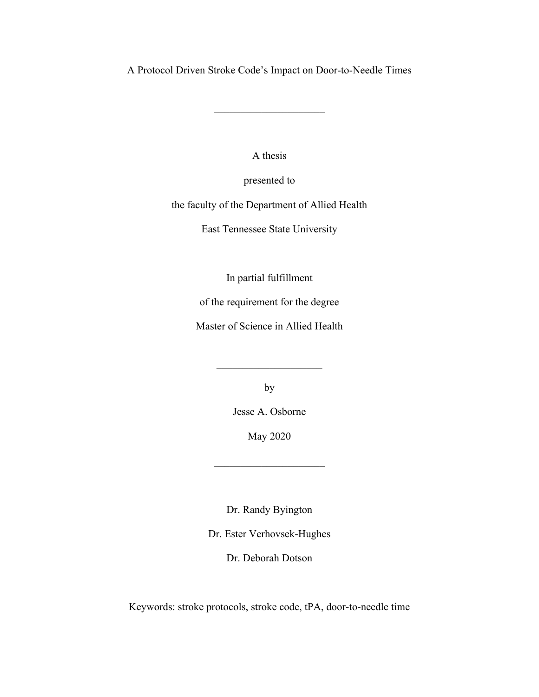A Protocol Driven Stroke Code's Impact on Door-to-Needle Times

A thesis

presented to

the faculty of the Department of Allied Health

East Tennessee State University

In partial fulfillment

of the requirement for the degree

Master of Science in Allied Health

by

Jesse A. Osborne

May 2020

 $\mathcal{L}_\text{max}$  , where  $\mathcal{L}_\text{max}$ 

Dr. Randy Byington

Dr. Ester Verhovsek-Hughes

Dr. Deborah Dotson

Keywords: stroke protocols, stroke code, tPA, door-to-needle time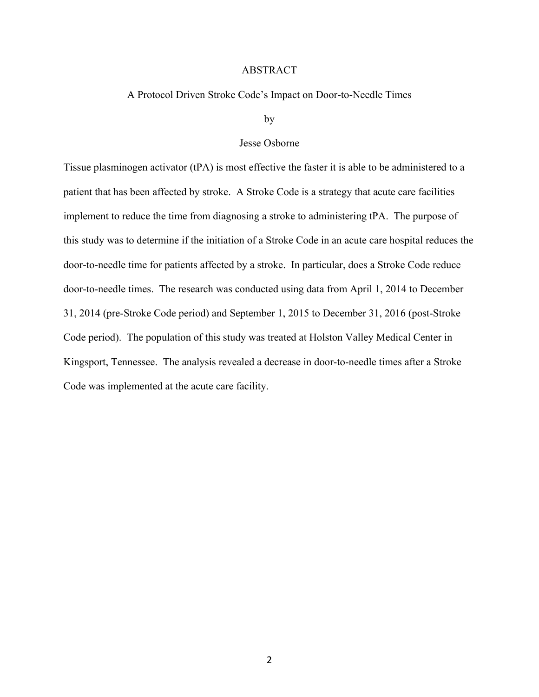#### ABSTRACT

#### A Protocol Driven Stroke Code's Impact on Door-to-Needle Times

by

## Jesse Osborne

Tissue plasminogen activator (tPA) is most effective the faster it is able to be administered to a patient that has been affected by stroke. A Stroke Code is a strategy that acute care facilities implement to reduce the time from diagnosing a stroke to administering tPA. The purpose of this study was to determine if the initiation of a Stroke Code in an acute care hospital reduces the door-to-needle time for patients affected by a stroke. In particular, does a Stroke Code reduce door-to-needle times. The research was conducted using data from April 1, 2014 to December 31, 2014 (pre-Stroke Code period) and September 1, 2015 to December 31, 2016 (post-Stroke Code period). The population of this study was treated at Holston Valley Medical Center in Kingsport, Tennessee. The analysis revealed a decrease in door-to-needle times after a Stroke Code was implemented at the acute care facility.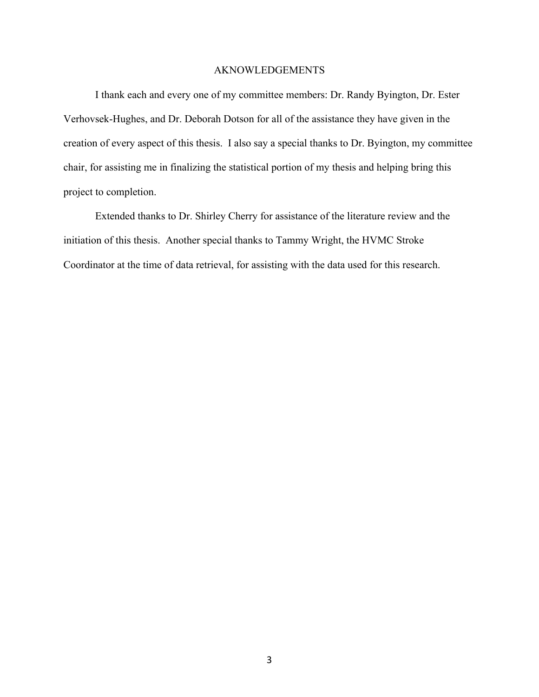#### AKNOWLEDGEMENTS

I thank each and every one of my committee members: Dr. Randy Byington, Dr. Ester Verhovsek-Hughes, and Dr. Deborah Dotson for all of the assistance they have given in the creation of every aspect of this thesis. I also say a special thanks to Dr. Byington, my committee chair, for assisting me in finalizing the statistical portion of my thesis and helping bring this project to completion.

Extended thanks to Dr. Shirley Cherry for assistance of the literature review and the initiation of this thesis. Another special thanks to Tammy Wright, the HVMC Stroke Coordinator at the time of data retrieval, for assisting with the data used for this research.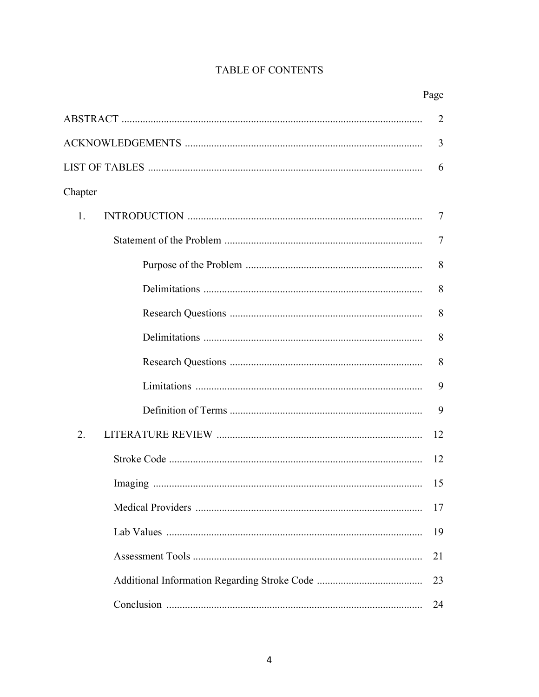# TABLE OF CONTENTS

|         | Page |
|---------|------|
|         | 2    |
|         | 3    |
|         | 6    |
| Chapter |      |
| 1.      | 7    |
|         | 7    |
|         | 8    |
|         | 8    |
|         | 8    |
|         | 8    |
|         | 8    |
|         | 9    |
|         | 9    |
| 2.      | 12   |
|         | 12   |
|         | 15   |
|         | 17   |
|         | 19   |
|         | 21   |
|         | 23   |
|         | 24   |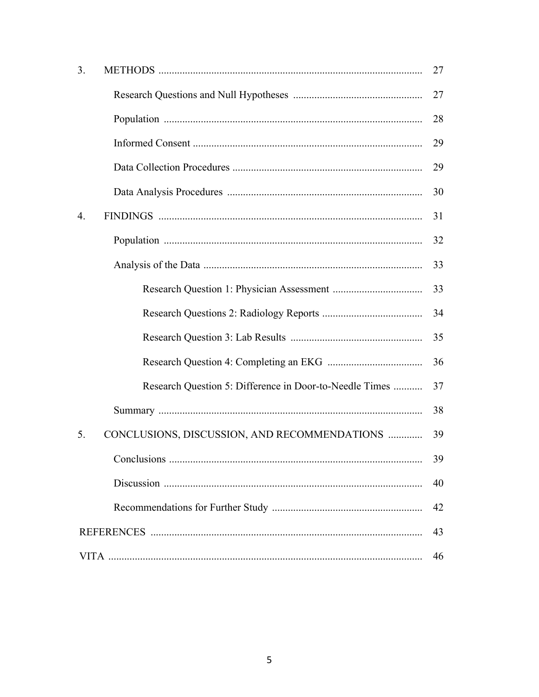| 3. |                                                         | 27 |
|----|---------------------------------------------------------|----|
|    |                                                         | 27 |
|    |                                                         | 28 |
|    |                                                         | 29 |
|    |                                                         | 29 |
|    |                                                         | 30 |
| 4. |                                                         | 31 |
|    |                                                         | 32 |
|    |                                                         | 33 |
|    |                                                         | 33 |
|    |                                                         | 34 |
|    |                                                         | 35 |
|    |                                                         | 36 |
|    | Research Question 5: Difference in Door-to-Needle Times | 37 |
|    |                                                         | 38 |
| 5. | CONCLUSIONS, DISCUSSION, AND RECOMMENDATIONS            | 39 |
|    |                                                         | 39 |
|    |                                                         | 40 |
|    |                                                         | 42 |
|    |                                                         | 43 |
|    |                                                         | 46 |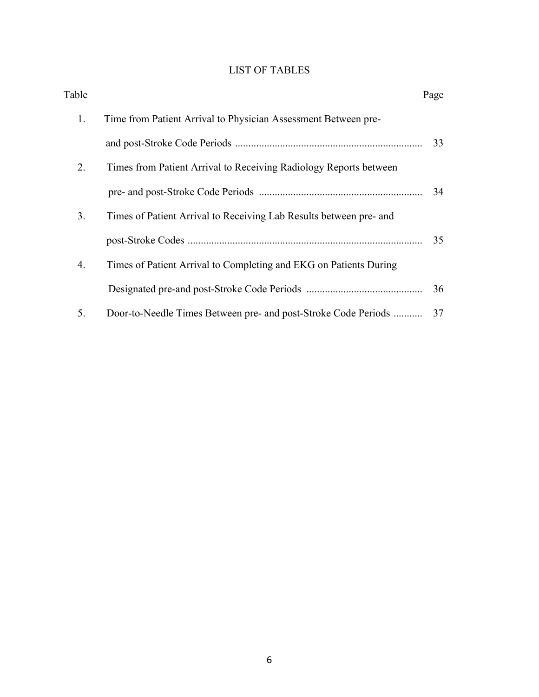# LIST OF TABLES

| Table |                                                                    | Page |
|-------|--------------------------------------------------------------------|------|
| 1.    | Time from Patient Arrival to Physician Assessment Between pre-     |      |
|       |                                                                    | 33   |
| 2.    | Times from Patient Arrival to Receiving Radiology Reports between  |      |
|       |                                                                    | 34   |
| 3.    | Times of Patient Arrival to Receiving Lab Results between pre- and |      |
|       |                                                                    | 35   |
| 4.    | Times of Patient Arrival to Completing and EKG on Patients During  |      |
|       |                                                                    | 36   |
| 5.    | Door-to-Needle Times Between pre- and post-Stroke Code Periods     | 37   |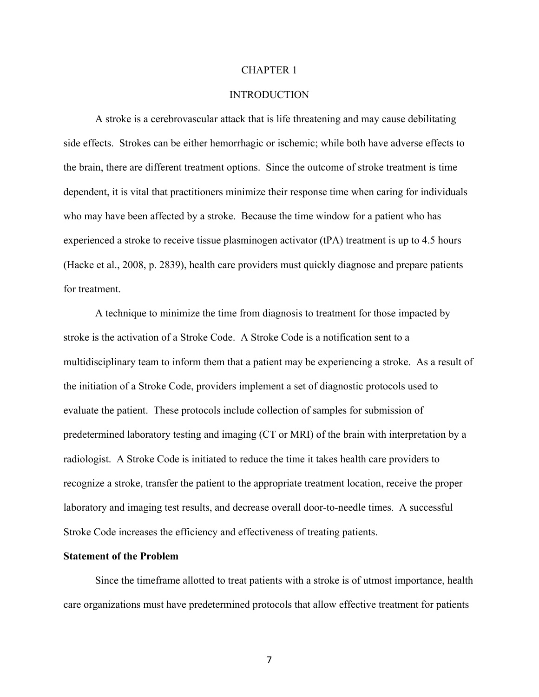#### CHAPTER 1

## INTRODUCTION

A stroke is a cerebrovascular attack that is life threatening and may cause debilitating side effects. Strokes can be either hemorrhagic or ischemic; while both have adverse effects to the brain, there are different treatment options. Since the outcome of stroke treatment is time dependent, it is vital that practitioners minimize their response time when caring for individuals who may have been affected by a stroke. Because the time window for a patient who has experienced a stroke to receive tissue plasminogen activator (tPA) treatment is up to 4.5 hours (Hacke et al., 2008, p. 2839), health care providers must quickly diagnose and prepare patients for treatment.

A technique to minimize the time from diagnosis to treatment for those impacted by stroke is the activation of a Stroke Code. A Stroke Code is a notification sent to a multidisciplinary team to inform them that a patient may be experiencing a stroke. As a result of the initiation of a Stroke Code, providers implement a set of diagnostic protocols used to evaluate the patient. These protocols include collection of samples for submission of predetermined laboratory testing and imaging (CT or MRI) of the brain with interpretation by a radiologist. A Stroke Code is initiated to reduce the time it takes health care providers to recognize a stroke, transfer the patient to the appropriate treatment location, receive the proper laboratory and imaging test results, and decrease overall door-to-needle times. A successful Stroke Code increases the efficiency and effectiveness of treating patients.

## **Statement of the Problem**

Since the timeframe allotted to treat patients with a stroke is of utmost importance, health care organizations must have predetermined protocols that allow effective treatment for patients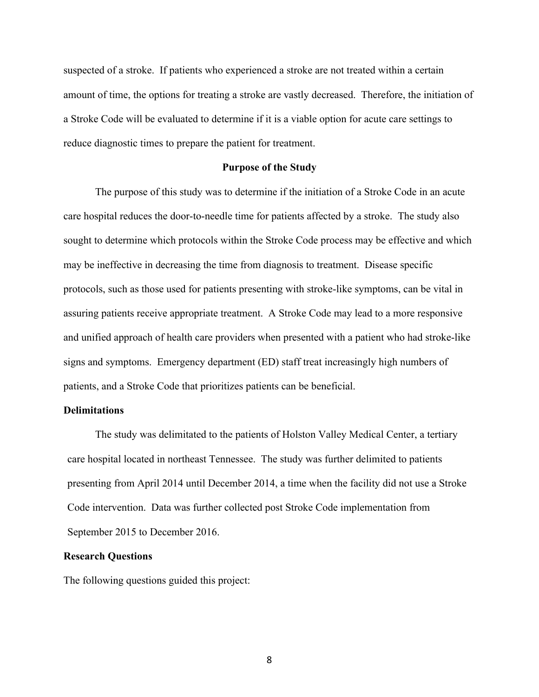suspected of a stroke. If patients who experienced a stroke are not treated within a certain amount of time, the options for treating a stroke are vastly decreased. Therefore, the initiation of a Stroke Code will be evaluated to determine if it is a viable option for acute care settings to reduce diagnostic times to prepare the patient for treatment.

#### **Purpose of the Study**

The purpose of this study was to determine if the initiation of a Stroke Code in an acute care hospital reduces the door-to-needle time for patients affected by a stroke. The study also sought to determine which protocols within the Stroke Code process may be effective and which may be ineffective in decreasing the time from diagnosis to treatment. Disease specific protocols, such as those used for patients presenting with stroke-like symptoms, can be vital in assuring patients receive appropriate treatment. A Stroke Code may lead to a more responsive and unified approach of health care providers when presented with a patient who had stroke-like signs and symptoms. Emergency department (ED) staff treat increasingly high numbers of patients, and a Stroke Code that prioritizes patients can be beneficial.

### **Delimitations**

The study was delimitated to the patients of Holston Valley Medical Center, a tertiary care hospital located in northeast Tennessee. The study was further delimited to patients presenting from April 2014 until December 2014, a time when the facility did not use a Stroke Code intervention. Data was further collected post Stroke Code implementation from September 2015 to December 2016.

## **Research Questions**

The following questions guided this project: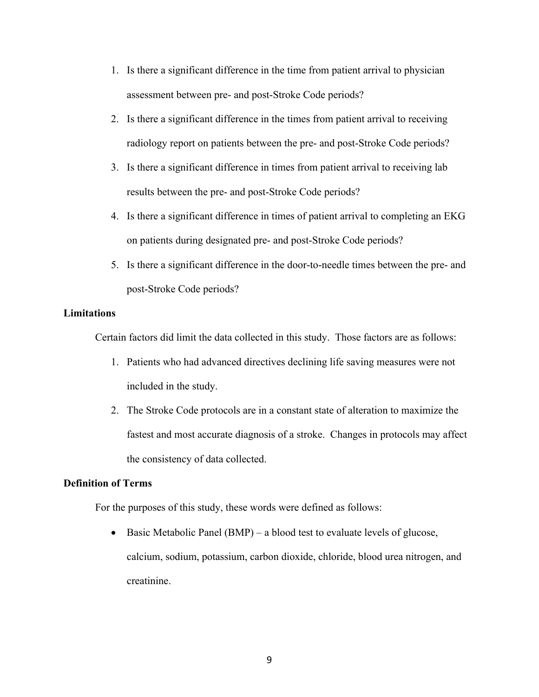- 1. Is there a significant difference in the time from patient arrival to physician assessment between pre- and post-Stroke Code periods?
- 2. Is there a significant difference in the times from patient arrival to receiving radiology report on patients between the pre- and post-Stroke Code periods?
- 3. Is there a significant difference in times from patient arrival to receiving lab results between the pre- and post-Stroke Code periods?
- 4. Is there a significant difference in times of patient arrival to completing an EKG on patients during designated pre- and post-Stroke Code periods?
- 5. Is there a significant difference in the door-to-needle times between the pre- and post-Stroke Code periods?

## **Limitations**

Certain factors did limit the data collected in this study. Those factors are as follows:

- 1. Patients who had advanced directives declining life saving measures were not included in the study.
- 2. The Stroke Code protocols are in a constant state of alteration to maximize the fastest and most accurate diagnosis of a stroke. Changes in protocols may affect the consistency of data collected.

## **Definition of Terms**

For the purposes of this study, these words were defined as follows:

• Basic Metabolic Panel (BMP) – a blood test to evaluate levels of glucose, calcium, sodium, potassium, carbon dioxide, chloride, blood urea nitrogen, and creatinine.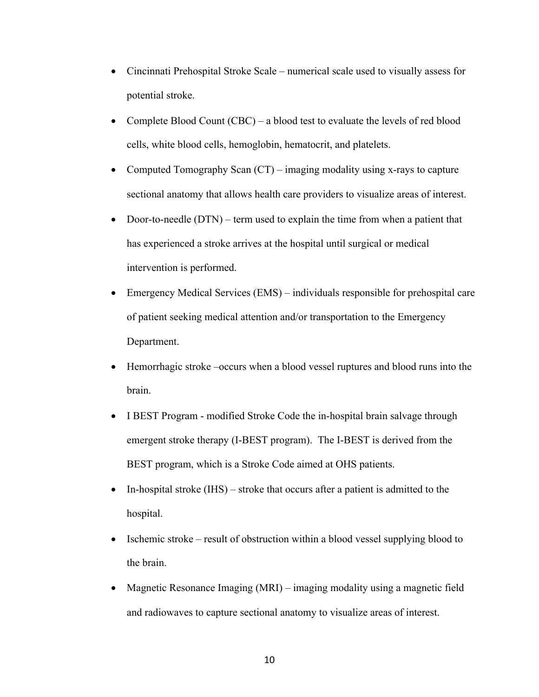- Cincinnati Prehospital Stroke Scale numerical scale used to visually assess for potential stroke.
- Complete Blood Count (CBC) a blood test to evaluate the levels of red blood cells, white blood cells, hemoglobin, hematocrit, and platelets.
- Computed Tomography Scan  $(CT)$  imaging modality using x-rays to capture sectional anatomy that allows health care providers to visualize areas of interest.
- Door-to-needle (DTN) term used to explain the time from when a patient that has experienced a stroke arrives at the hospital until surgical or medical intervention is performed.
- Emergency Medical Services (EMS) individuals responsible for prehospital care of patient seeking medical attention and/or transportation to the Emergency Department.
- Hemorrhagic stroke –occurs when a blood vessel ruptures and blood runs into the brain.
- I BEST Program modified Stroke Code the in-hospital brain salvage through emergent stroke therapy (I-BEST program). The I-BEST is derived from the BEST program, which is a Stroke Code aimed at OHS patients.
- In-hospital stroke (IHS) stroke that occurs after a patient is admitted to the hospital.
- Ischemic stroke result of obstruction within a blood vessel supplying blood to the brain.
- Magnetic Resonance Imaging (MRI) imaging modality using a magnetic field and radiowaves to capture sectional anatomy to visualize areas of interest.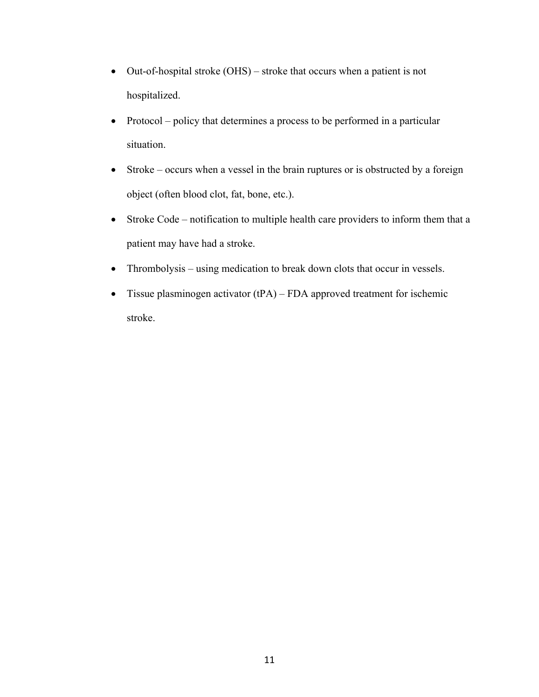- Out-of-hospital stroke (OHS) stroke that occurs when a patient is not hospitalized.
- Protocol policy that determines a process to be performed in a particular situation.
- Stroke occurs when a vessel in the brain ruptures or is obstructed by a foreign object (often blood clot, fat, bone, etc.).
- Stroke Code notification to multiple health care providers to inform them that a patient may have had a stroke.
- Thrombolysis using medication to break down clots that occur in vessels.
- Tissue plasminogen activator  $(tPA)$  FDA approved treatment for ischemic stroke.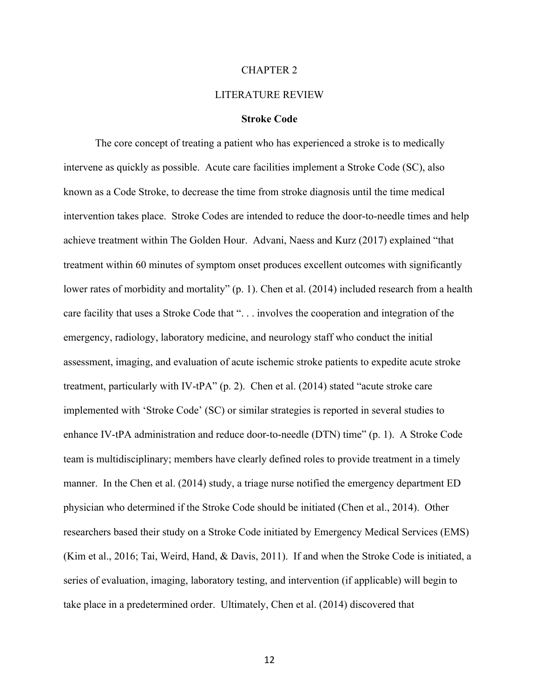#### CHAPTER 2

#### LITERATURE REVIEW

#### **Stroke Code**

The core concept of treating a patient who has experienced a stroke is to medically intervene as quickly as possible. Acute care facilities implement a Stroke Code (SC), also known as a Code Stroke, to decrease the time from stroke diagnosis until the time medical intervention takes place. Stroke Codes are intended to reduce the door-to-needle times and help achieve treatment within The Golden Hour. Advani, Naess and Kurz (2017) explained "that treatment within 60 minutes of symptom onset produces excellent outcomes with significantly lower rates of morbidity and mortality" (p. 1). Chen et al. (2014) included research from a health care facility that uses a Stroke Code that ". . . involves the cooperation and integration of the emergency, radiology, laboratory medicine, and neurology staff who conduct the initial assessment, imaging, and evaluation of acute ischemic stroke patients to expedite acute stroke treatment, particularly with IV-tPA" (p. 2). Chen et al. (2014) stated "acute stroke care implemented with 'Stroke Code' (SC) or similar strategies is reported in several studies to enhance IV-tPA administration and reduce door-to-needle (DTN) time" (p. 1). A Stroke Code team is multidisciplinary; members have clearly defined roles to provide treatment in a timely manner. In the Chen et al. (2014) study, a triage nurse notified the emergency department ED physician who determined if the Stroke Code should be initiated (Chen et al., 2014). Other researchers based their study on a Stroke Code initiated by Emergency Medical Services (EMS) (Kim et al., 2016; Tai, Weird, Hand, & Davis, 2011). If and when the Stroke Code is initiated, a series of evaluation, imaging, laboratory testing, and intervention (if applicable) will begin to take place in a predetermined order. Ultimately, Chen et al. (2014) discovered that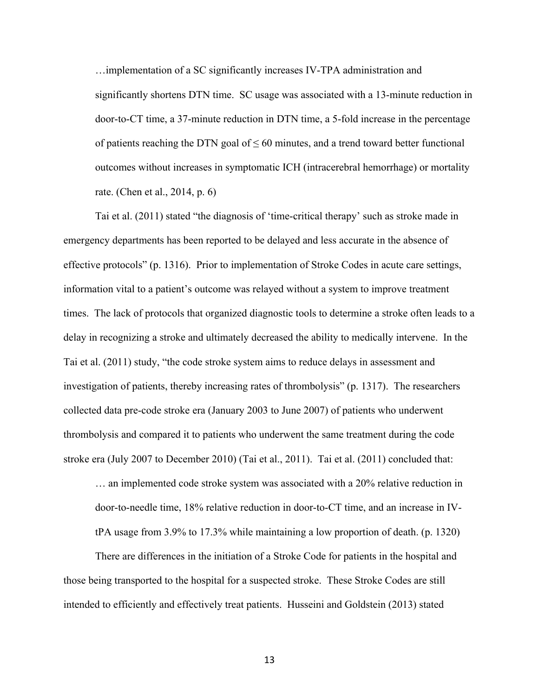…implementation of a SC significantly increases IV-TPA administration and significantly shortens DTN time. SC usage was associated with a 13-minute reduction in door-to-CT time, a 37-minute reduction in DTN time, a 5-fold increase in the percentage of patients reaching the DTN goal of  $\leq 60$  minutes, and a trend toward better functional outcomes without increases in symptomatic ICH (intracerebral hemorrhage) or mortality rate. (Chen et al., 2014, p. 6)

Tai et al. (2011) stated "the diagnosis of 'time-critical therapy' such as stroke made in emergency departments has been reported to be delayed and less accurate in the absence of effective protocols" (p. 1316). Prior to implementation of Stroke Codes in acute care settings, information vital to a patient's outcome was relayed without a system to improve treatment times. The lack of protocols that organized diagnostic tools to determine a stroke often leads to a delay in recognizing a stroke and ultimately decreased the ability to medically intervene. In the Tai et al. (2011) study, "the code stroke system aims to reduce delays in assessment and investigation of patients, thereby increasing rates of thrombolysis" (p. 1317). The researchers collected data pre-code stroke era (January 2003 to June 2007) of patients who underwent thrombolysis and compared it to patients who underwent the same treatment during the code stroke era (July 2007 to December 2010) (Tai et al., 2011). Tai et al. (2011) concluded that:

… an implemented code stroke system was associated with a 20% relative reduction in door-to-needle time, 18% relative reduction in door-to-CT time, and an increase in IVtPA usage from 3.9% to 17.3% while maintaining a low proportion of death. (p. 1320)

There are differences in the initiation of a Stroke Code for patients in the hospital and those being transported to the hospital for a suspected stroke. These Stroke Codes are still intended to efficiently and effectively treat patients. Husseini and Goldstein (2013) stated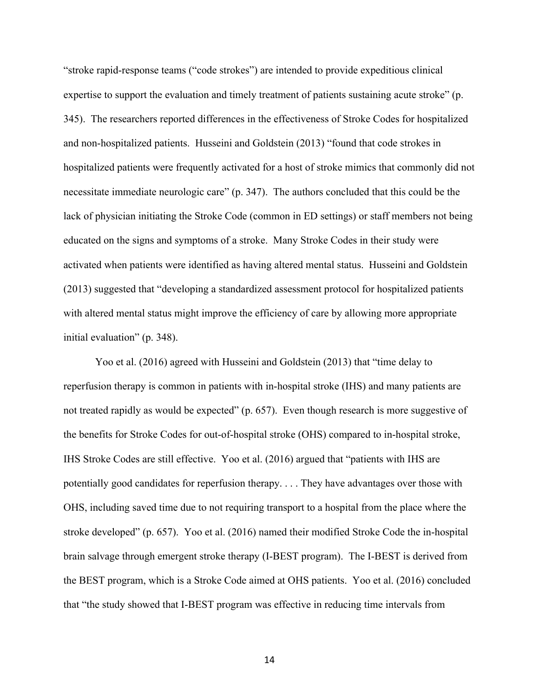"stroke rapid-response teams ("code strokes") are intended to provide expeditious clinical expertise to support the evaluation and timely treatment of patients sustaining acute stroke" (p. 345). The researchers reported differences in the effectiveness of Stroke Codes for hospitalized and non-hospitalized patients. Husseini and Goldstein (2013) "found that code strokes in hospitalized patients were frequently activated for a host of stroke mimics that commonly did not necessitate immediate neurologic care" (p. 347). The authors concluded that this could be the lack of physician initiating the Stroke Code (common in ED settings) or staff members not being educated on the signs and symptoms of a stroke. Many Stroke Codes in their study were activated when patients were identified as having altered mental status. Husseini and Goldstein (2013) suggested that "developing a standardized assessment protocol for hospitalized patients with altered mental status might improve the efficiency of care by allowing more appropriate initial evaluation" (p. 348).

Yoo et al. (2016) agreed with Husseini and Goldstein (2013) that "time delay to reperfusion therapy is common in patients with in-hospital stroke (IHS) and many patients are not treated rapidly as would be expected" (p. 657). Even though research is more suggestive of the benefits for Stroke Codes for out-of-hospital stroke (OHS) compared to in-hospital stroke, IHS Stroke Codes are still effective. Yoo et al. (2016) argued that "patients with IHS are potentially good candidates for reperfusion therapy. . . . They have advantages over those with OHS, including saved time due to not requiring transport to a hospital from the place where the stroke developed" (p. 657). Yoo et al. (2016) named their modified Stroke Code the in-hospital brain salvage through emergent stroke therapy (I-BEST program). The I-BEST is derived from the BEST program, which is a Stroke Code aimed at OHS patients. Yoo et al. (2016) concluded that "the study showed that I-BEST program was effective in reducing time intervals from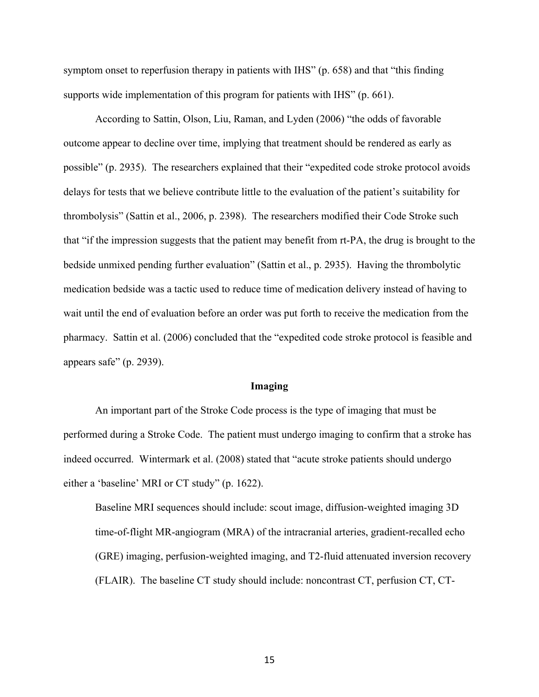symptom onset to reperfusion therapy in patients with IHS" (p. 658) and that "this finding supports wide implementation of this program for patients with IHS" (p. 661).

According to Sattin, Olson, Liu, Raman, and Lyden (2006) "the odds of favorable outcome appear to decline over time, implying that treatment should be rendered as early as possible" (p. 2935). The researchers explained that their "expedited code stroke protocol avoids delays for tests that we believe contribute little to the evaluation of the patient's suitability for thrombolysis" (Sattin et al., 2006, p. 2398). The researchers modified their Code Stroke such that "if the impression suggests that the patient may benefit from rt-PA, the drug is brought to the bedside unmixed pending further evaluation" (Sattin et al., p. 2935). Having the thrombolytic medication bedside was a tactic used to reduce time of medication delivery instead of having to wait until the end of evaluation before an order was put forth to receive the medication from the pharmacy. Sattin et al. (2006) concluded that the "expedited code stroke protocol is feasible and appears safe" (p. 2939).

#### **Imaging**

An important part of the Stroke Code process is the type of imaging that must be performed during a Stroke Code. The patient must undergo imaging to confirm that a stroke has indeed occurred. Wintermark et al. (2008) stated that "acute stroke patients should undergo either a 'baseline' MRI or CT study" (p. 1622).

Baseline MRI sequences should include: scout image, diffusion-weighted imaging 3D time-of-flight MR-angiogram (MRA) of the intracranial arteries, gradient-recalled echo (GRE) imaging, perfusion-weighted imaging, and T2-fluid attenuated inversion recovery (FLAIR). The baseline CT study should include: noncontrast CT, perfusion CT, CT-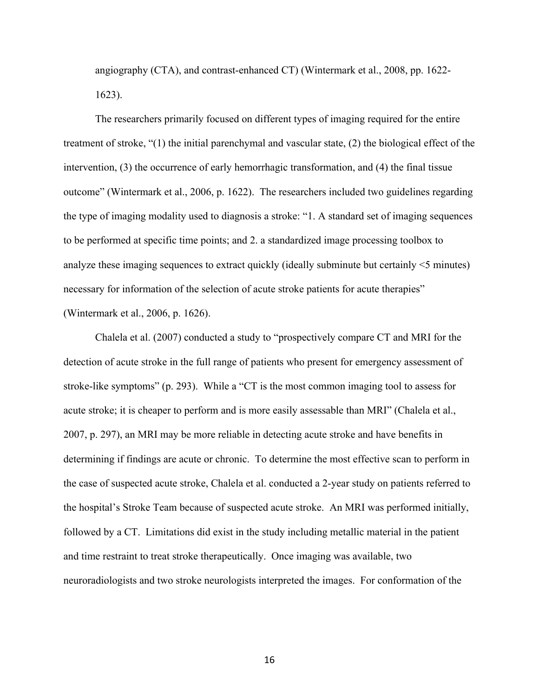angiography (CTA), and contrast-enhanced CT) (Wintermark et al., 2008, pp. 1622- 1623).

The researchers primarily focused on different types of imaging required for the entire treatment of stroke, "(1) the initial parenchymal and vascular state, (2) the biological effect of the intervention, (3) the occurrence of early hemorrhagic transformation, and (4) the final tissue outcome" (Wintermark et al., 2006, p. 1622). The researchers included two guidelines regarding the type of imaging modality used to diagnosis a stroke: "1. A standard set of imaging sequences to be performed at specific time points; and 2. a standardized image processing toolbox to analyze these imaging sequences to extract quickly (ideally subminute but certainly <5 minutes) necessary for information of the selection of acute stroke patients for acute therapies" (Wintermark et al., 2006, p. 1626).

Chalela et al. (2007) conducted a study to "prospectively compare CT and MRI for the detection of acute stroke in the full range of patients who present for emergency assessment of stroke-like symptoms" (p. 293). While a "CT is the most common imaging tool to assess for acute stroke; it is cheaper to perform and is more easily assessable than MRI" (Chalela et al., 2007, p. 297), an MRI may be more reliable in detecting acute stroke and have benefits in determining if findings are acute or chronic. To determine the most effective scan to perform in the case of suspected acute stroke, Chalela et al. conducted a 2-year study on patients referred to the hospital's Stroke Team because of suspected acute stroke. An MRI was performed initially, followed by a CT. Limitations did exist in the study including metallic material in the patient and time restraint to treat stroke therapeutically. Once imaging was available, two neuroradiologists and two stroke neurologists interpreted the images. For conformation of the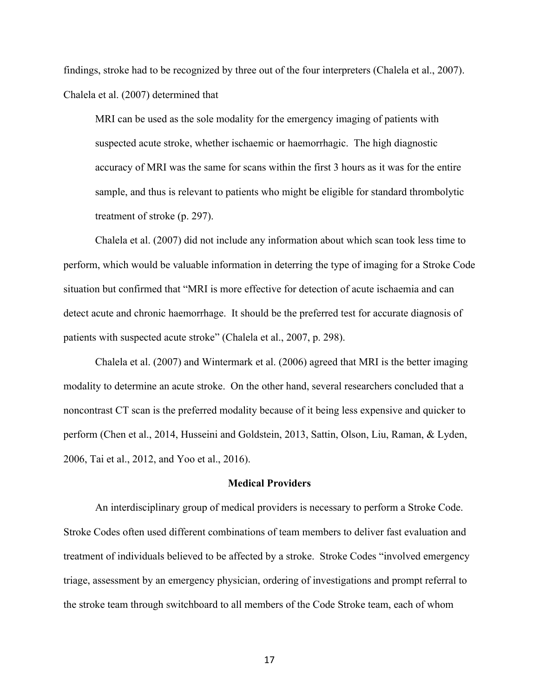findings, stroke had to be recognized by three out of the four interpreters (Chalela et al., 2007). Chalela et al. (2007) determined that

MRI can be used as the sole modality for the emergency imaging of patients with suspected acute stroke, whether ischaemic or haemorrhagic. The high diagnostic accuracy of MRI was the same for scans within the first 3 hours as it was for the entire sample, and thus is relevant to patients who might be eligible for standard thrombolytic treatment of stroke (p. 297).

Chalela et al. (2007) did not include any information about which scan took less time to perform, which would be valuable information in deterring the type of imaging for a Stroke Code situation but confirmed that "MRI is more effective for detection of acute ischaemia and can detect acute and chronic haemorrhage. It should be the preferred test for accurate diagnosis of patients with suspected acute stroke" (Chalela et al., 2007, p. 298).

Chalela et al. (2007) and Wintermark et al. (2006) agreed that MRI is the better imaging modality to determine an acute stroke. On the other hand, several researchers concluded that a noncontrast CT scan is the preferred modality because of it being less expensive and quicker to perform (Chen et al., 2014, Husseini and Goldstein, 2013, Sattin, Olson, Liu, Raman, & Lyden, 2006, Tai et al., 2012, and Yoo et al., 2016).

## **Medical Providers**

An interdisciplinary group of medical providers is necessary to perform a Stroke Code. Stroke Codes often used different combinations of team members to deliver fast evaluation and treatment of individuals believed to be affected by a stroke. Stroke Codes "involved emergency triage, assessment by an emergency physician, ordering of investigations and prompt referral to the stroke team through switchboard to all members of the Code Stroke team, each of whom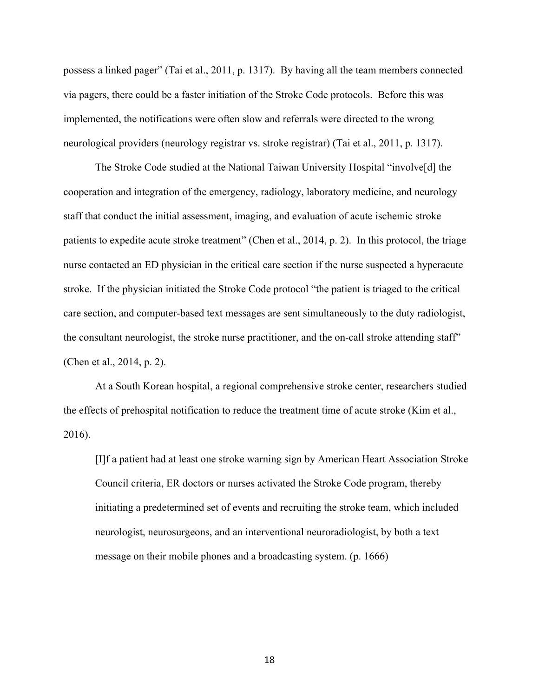possess a linked pager" (Tai et al., 2011, p. 1317). By having all the team members connected via pagers, there could be a faster initiation of the Stroke Code protocols. Before this was implemented, the notifications were often slow and referrals were directed to the wrong neurological providers (neurology registrar vs. stroke registrar) (Tai et al., 2011, p. 1317).

The Stroke Code studied at the National Taiwan University Hospital "involve[d] the cooperation and integration of the emergency, radiology, laboratory medicine, and neurology staff that conduct the initial assessment, imaging, and evaluation of acute ischemic stroke patients to expedite acute stroke treatment" (Chen et al., 2014, p. 2). In this protocol, the triage nurse contacted an ED physician in the critical care section if the nurse suspected a hyperacute stroke. If the physician initiated the Stroke Code protocol "the patient is triaged to the critical care section, and computer-based text messages are sent simultaneously to the duty radiologist, the consultant neurologist, the stroke nurse practitioner, and the on-call stroke attending staff" (Chen et al., 2014, p. 2).

At a South Korean hospital, a regional comprehensive stroke center, researchers studied the effects of prehospital notification to reduce the treatment time of acute stroke (Kim et al., 2016).

[I]f a patient had at least one stroke warning sign by American Heart Association Stroke Council criteria, ER doctors or nurses activated the Stroke Code program, thereby initiating a predetermined set of events and recruiting the stroke team, which included neurologist, neurosurgeons, and an interventional neuroradiologist, by both a text message on their mobile phones and a broadcasting system. (p. 1666)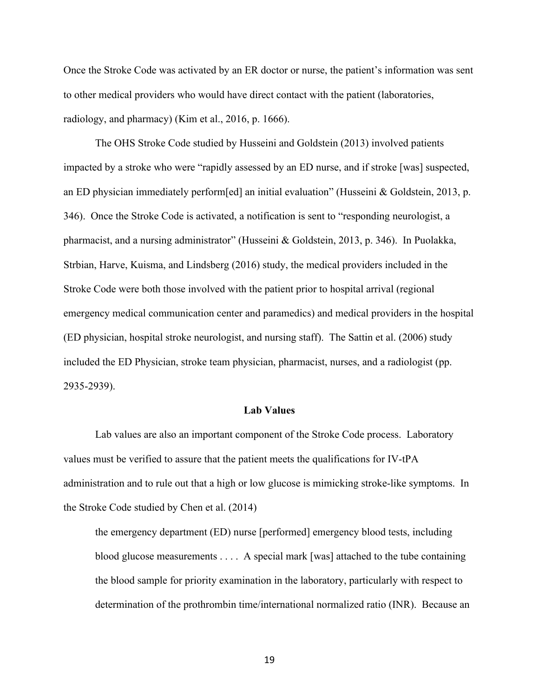Once the Stroke Code was activated by an ER doctor or nurse, the patient's information was sent to other medical providers who would have direct contact with the patient (laboratories, radiology, and pharmacy) (Kim et al., 2016, p. 1666).

The OHS Stroke Code studied by Husseini and Goldstein (2013) involved patients impacted by a stroke who were "rapidly assessed by an ED nurse, and if stroke [was] suspected, an ED physician immediately perform[ed] an initial evaluation" (Husseini & Goldstein, 2013, p. 346). Once the Stroke Code is activated, a notification is sent to "responding neurologist, a pharmacist, and a nursing administrator" (Husseini & Goldstein, 2013, p. 346). In Puolakka, Strbian, Harve, Kuisma, and Lindsberg (2016) study, the medical providers included in the Stroke Code were both those involved with the patient prior to hospital arrival (regional emergency medical communication center and paramedics) and medical providers in the hospital (ED physician, hospital stroke neurologist, and nursing staff). The Sattin et al. (2006) study included the ED Physician, stroke team physician, pharmacist, nurses, and a radiologist (pp. 2935-2939).

### **Lab Values**

Lab values are also an important component of the Stroke Code process. Laboratory values must be verified to assure that the patient meets the qualifications for IV-tPA administration and to rule out that a high or low glucose is mimicking stroke-like symptoms. In the Stroke Code studied by Chen et al. (2014)

the emergency department (ED) nurse [performed] emergency blood tests, including blood glucose measurements . . . . A special mark [was] attached to the tube containing the blood sample for priority examination in the laboratory, particularly with respect to determination of the prothrombin time/international normalized ratio (INR). Because an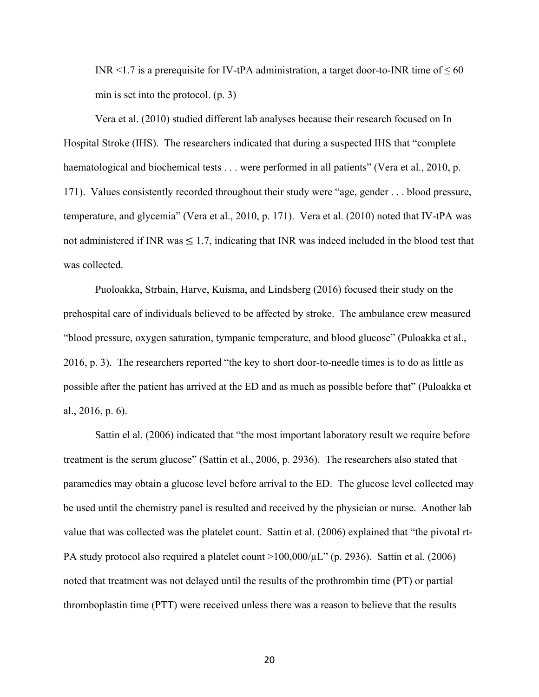INR <1.7 is a prerequisite for IV-tPA administration, a target door-to-INR time of  $\leq 60$ min is set into the protocol. (p. 3)

Vera et al. (2010) studied different lab analyses because their research focused on In Hospital Stroke (IHS). The researchers indicated that during a suspected IHS that "complete haematological and biochemical tests . . . were performed in all patients" (Vera et al., 2010, p. 171). Values consistently recorded throughout their study were "age, gender . . . blood pressure, temperature, and glycemia" (Vera et al., 2010, p. 171). Vera et al. (2010) noted that IV-tPA was not administered if INR was  $\leq 1.7$ , indicating that INR was indeed included in the blood test that was collected.

Puoloakka, Strbain, Harve, Kuisma, and Lindsberg (2016) focused their study on the prehospital care of individuals believed to be affected by stroke. The ambulance crew measured "blood pressure, oxygen saturation, tympanic temperature, and blood glucose" (Puloakka et al., 2016, p. 3). The researchers reported "the key to short door-to-needle times is to do as little as possible after the patient has arrived at the ED and as much as possible before that" (Puloakka et al., 2016, p. 6).

Sattin el al. (2006) indicated that "the most important laboratory result we require before treatment is the serum glucose" (Sattin et al., 2006, p. 2936). The researchers also stated that paramedics may obtain a glucose level before arrival to the ED. The glucose level collected may be used until the chemistry panel is resulted and received by the physician or nurse. Another lab value that was collected was the platelet count. Sattin et al. (2006) explained that "the pivotal rt-PA study protocol also required a platelet count  $>100,000/\mu L$ " (p. 2936). Sattin et al. (2006) noted that treatment was not delayed until the results of the prothrombin time (PT) or partial thromboplastin time (PTT) were received unless there was a reason to believe that the results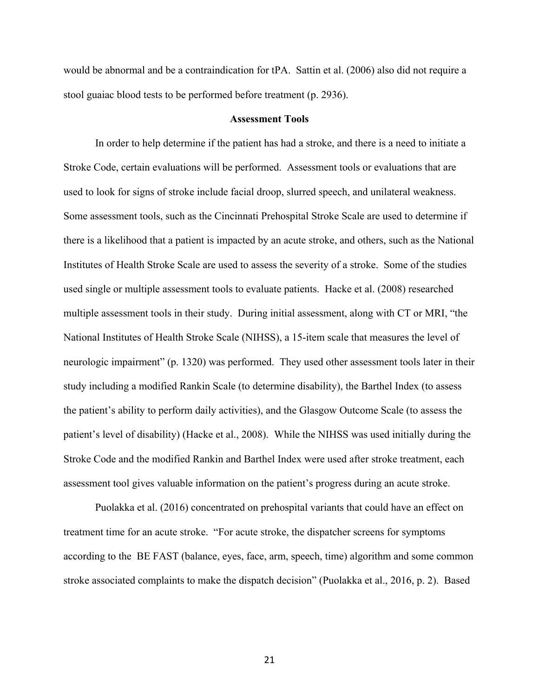would be abnormal and be a contraindication for tPA. Sattin et al. (2006) also did not require a stool guaiac blood tests to be performed before treatment (p. 2936).

#### **Assessment Tools**

In order to help determine if the patient has had a stroke, and there is a need to initiate a Stroke Code, certain evaluations will be performed. Assessment tools or evaluations that are used to look for signs of stroke include facial droop, slurred speech, and unilateral weakness. Some assessment tools, such as the Cincinnati Prehospital Stroke Scale are used to determine if there is a likelihood that a patient is impacted by an acute stroke, and others, such as the National Institutes of Health Stroke Scale are used to assess the severity of a stroke. Some of the studies used single or multiple assessment tools to evaluate patients. Hacke et al. (2008) researched multiple assessment tools in their study. During initial assessment, along with CT or MRI, "the National Institutes of Health Stroke Scale (NIHSS), a 15-item scale that measures the level of neurologic impairment" (p. 1320) was performed. They used other assessment tools later in their study including a modified Rankin Scale (to determine disability), the Barthel Index (to assess the patient's ability to perform daily activities), and the Glasgow Outcome Scale (to assess the patient's level of disability) (Hacke et al., 2008). While the NIHSS was used initially during the Stroke Code and the modified Rankin and Barthel Index were used after stroke treatment, each assessment tool gives valuable information on the patient's progress during an acute stroke.

Puolakka et al. (2016) concentrated on prehospital variants that could have an effect on treatment time for an acute stroke. "For acute stroke, the dispatcher screens for symptoms according to the BE FAST (balance, eyes, face, arm, speech, time) algorithm and some common stroke associated complaints to make the dispatch decision" (Puolakka et al., 2016, p. 2). Based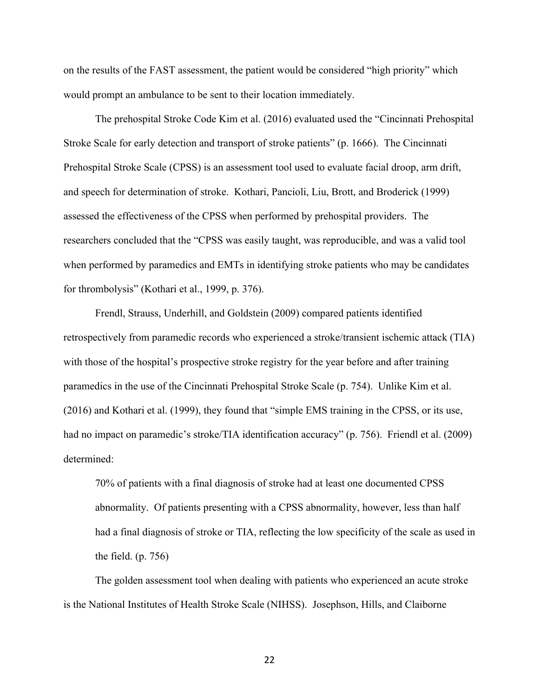on the results of the FAST assessment, the patient would be considered "high priority" which would prompt an ambulance to be sent to their location immediately.

The prehospital Stroke Code Kim et al. (2016) evaluated used the "Cincinnati Prehospital Stroke Scale for early detection and transport of stroke patients" (p. 1666). The Cincinnati Prehospital Stroke Scale (CPSS) is an assessment tool used to evaluate facial droop, arm drift, and speech for determination of stroke. Kothari, Pancioli, Liu, Brott, and Broderick (1999) assessed the effectiveness of the CPSS when performed by prehospital providers. The researchers concluded that the "CPSS was easily taught, was reproducible, and was a valid tool when performed by paramedics and EMTs in identifying stroke patients who may be candidates for thrombolysis" (Kothari et al., 1999, p. 376).

Frendl, Strauss, Underhill, and Goldstein (2009) compared patients identified retrospectively from paramedic records who experienced a stroke/transient ischemic attack (TIA) with those of the hospital's prospective stroke registry for the year before and after training paramedics in the use of the Cincinnati Prehospital Stroke Scale (p. 754). Unlike Kim et al. (2016) and Kothari et al. (1999), they found that "simple EMS training in the CPSS, or its use, had no impact on paramedic's stroke/TIA identification accuracy" (p. 756). Friendl et al. (2009) determined:

70% of patients with a final diagnosis of stroke had at least one documented CPSS abnormality. Of patients presenting with a CPSS abnormality, however, less than half had a final diagnosis of stroke or TIA, reflecting the low specificity of the scale as used in the field. (p. 756)

The golden assessment tool when dealing with patients who experienced an acute stroke is the National Institutes of Health Stroke Scale (NIHSS). Josephson, Hills, and Claiborne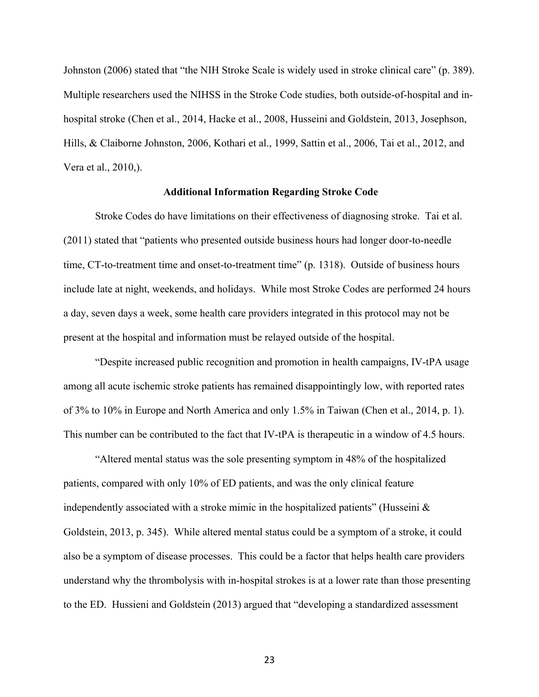Johnston (2006) stated that "the NIH Stroke Scale is widely used in stroke clinical care" (p. 389). Multiple researchers used the NIHSS in the Stroke Code studies, both outside-of-hospital and inhospital stroke (Chen et al., 2014, Hacke et al., 2008, Husseini and Goldstein, 2013, Josephson, Hills, & Claiborne Johnston, 2006, Kothari et al., 1999, Sattin et al., 2006, Tai et al., 2012, and Vera et al., 2010,).

## **Additional Information Regarding Stroke Code**

Stroke Codes do have limitations on their effectiveness of diagnosing stroke. Tai et al. (2011) stated that "patients who presented outside business hours had longer door-to-needle time, CT-to-treatment time and onset-to-treatment time" (p. 1318). Outside of business hours include late at night, weekends, and holidays. While most Stroke Codes are performed 24 hours a day, seven days a week, some health care providers integrated in this protocol may not be present at the hospital and information must be relayed outside of the hospital.

"Despite increased public recognition and promotion in health campaigns, IV-tPA usage among all acute ischemic stroke patients has remained disappointingly low, with reported rates of 3% to 10% in Europe and North America and only 1.5% in Taiwan (Chen et al., 2014, p. 1). This number can be contributed to the fact that IV-tPA is therapeutic in a window of 4.5 hours.

"Altered mental status was the sole presenting symptom in 48% of the hospitalized patients, compared with only 10% of ED patients, and was the only clinical feature independently associated with a stroke mimic in the hospitalized patients" (Husseini  $\&$ Goldstein, 2013, p. 345). While altered mental status could be a symptom of a stroke, it could also be a symptom of disease processes. This could be a factor that helps health care providers understand why the thrombolysis with in-hospital strokes is at a lower rate than those presenting to the ED. Hussieni and Goldstein (2013) argued that "developing a standardized assessment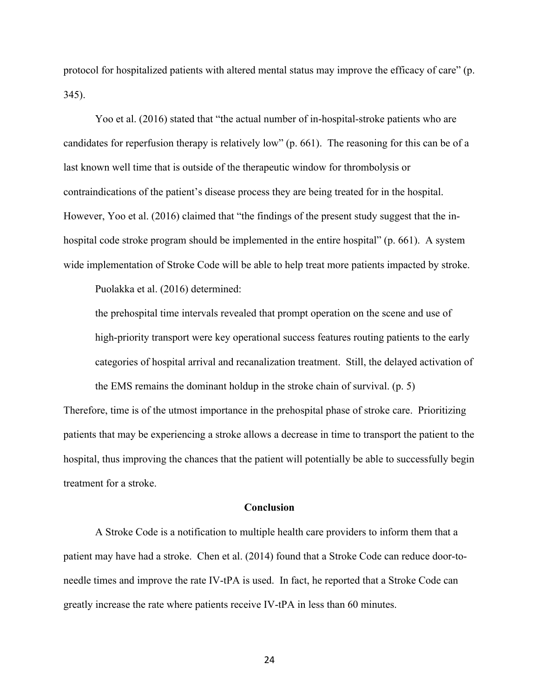protocol for hospitalized patients with altered mental status may improve the efficacy of care" (p. 345).

Yoo et al. (2016) stated that "the actual number of in-hospital-stroke patients who are candidates for reperfusion therapy is relatively low" (p. 661). The reasoning for this can be of a last known well time that is outside of the therapeutic window for thrombolysis or contraindications of the patient's disease process they are being treated for in the hospital. However, Yoo et al. (2016) claimed that "the findings of the present study suggest that the inhospital code stroke program should be implemented in the entire hospital" (p. 661). A system wide implementation of Stroke Code will be able to help treat more patients impacted by stroke.

Puolakka et al. (2016) determined:

the prehospital time intervals revealed that prompt operation on the scene and use of high-priority transport were key operational success features routing patients to the early categories of hospital arrival and recanalization treatment. Still, the delayed activation of the EMS remains the dominant holdup in the stroke chain of survival. (p. 5)

Therefore, time is of the utmost importance in the prehospital phase of stroke care. Prioritizing patients that may be experiencing a stroke allows a decrease in time to transport the patient to the hospital, thus improving the chances that the patient will potentially be able to successfully begin treatment for a stroke.

#### **Conclusion**

A Stroke Code is a notification to multiple health care providers to inform them that a patient may have had a stroke. Chen et al. (2014) found that a Stroke Code can reduce door-toneedle times and improve the rate IV-tPA is used. In fact, he reported that a Stroke Code can greatly increase the rate where patients receive IV-tPA in less than 60 minutes.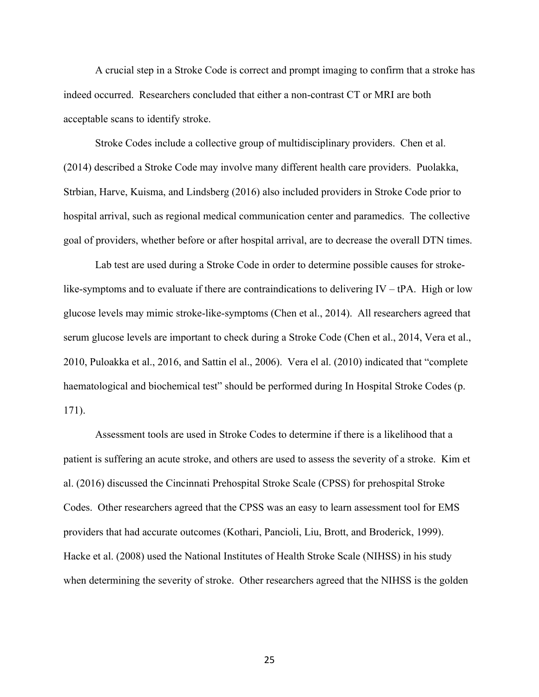A crucial step in a Stroke Code is correct and prompt imaging to confirm that a stroke has indeed occurred. Researchers concluded that either a non-contrast CT or MRI are both acceptable scans to identify stroke.

Stroke Codes include a collective group of multidisciplinary providers. Chen et al. (2014) described a Stroke Code may involve many different health care providers. Puolakka, Strbian, Harve, Kuisma, and Lindsberg (2016) also included providers in Stroke Code prior to hospital arrival, such as regional medical communication center and paramedics. The collective goal of providers, whether before or after hospital arrival, are to decrease the overall DTN times.

Lab test are used during a Stroke Code in order to determine possible causes for strokelike-symptoms and to evaluate if there are contraindications to delivering  $IV - tPA$ . High or low glucose levels may mimic stroke-like-symptoms (Chen et al., 2014). All researchers agreed that serum glucose levels are important to check during a Stroke Code (Chen et al., 2014, Vera et al., 2010, Puloakka et al., 2016, and Sattin el al., 2006). Vera el al. (2010) indicated that "complete haematological and biochemical test" should be performed during In Hospital Stroke Codes (p. 171).

Assessment tools are used in Stroke Codes to determine if there is a likelihood that a patient is suffering an acute stroke, and others are used to assess the severity of a stroke. Kim et al. (2016) discussed the Cincinnati Prehospital Stroke Scale (CPSS) for prehospital Stroke Codes. Other researchers agreed that the CPSS was an easy to learn assessment tool for EMS providers that had accurate outcomes (Kothari, Pancioli, Liu, Brott, and Broderick, 1999). Hacke et al. (2008) used the National Institutes of Health Stroke Scale (NIHSS) in his study when determining the severity of stroke. Other researchers agreed that the NIHSS is the golden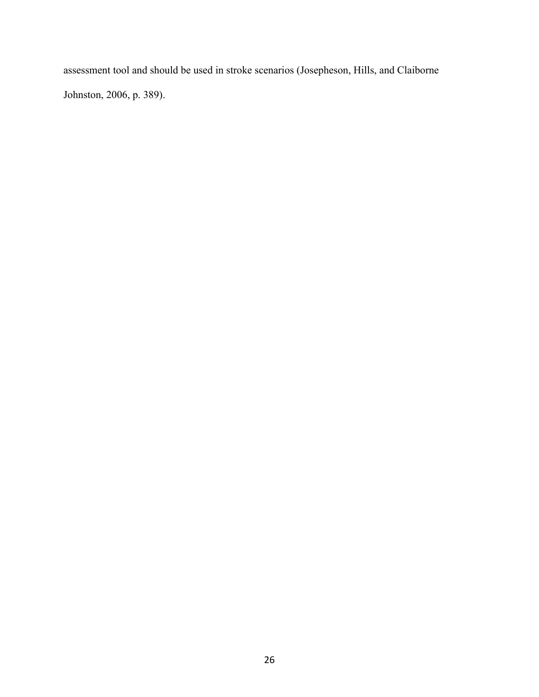assessment tool and should be used in stroke scenarios (Josepheson, Hills, and Claiborne Johnston, 2006, p. 389).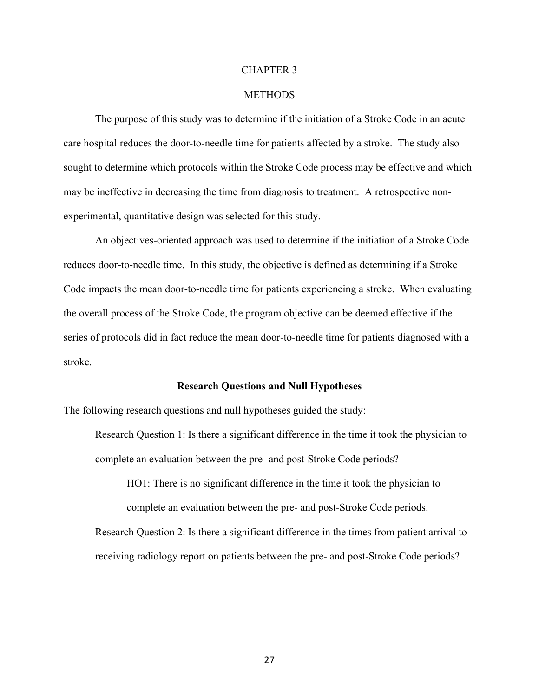#### CHAPTER 3

#### **METHODS**

The purpose of this study was to determine if the initiation of a Stroke Code in an acute care hospital reduces the door-to-needle time for patients affected by a stroke. The study also sought to determine which protocols within the Stroke Code process may be effective and which may be ineffective in decreasing the time from diagnosis to treatment. A retrospective nonexperimental, quantitative design was selected for this study.

An objectives-oriented approach was used to determine if the initiation of a Stroke Code reduces door-to-needle time. In this study, the objective is defined as determining if a Stroke Code impacts the mean door-to-needle time for patients experiencing a stroke. When evaluating the overall process of the Stroke Code, the program objective can be deemed effective if the series of protocols did in fact reduce the mean door-to-needle time for patients diagnosed with a stroke.

#### **Research Questions and Null Hypotheses**

The following research questions and null hypotheses guided the study:

Research Question 1: Is there a significant difference in the time it took the physician to complete an evaluation between the pre- and post-Stroke Code periods?

HO1: There is no significant difference in the time it took the physician to complete an evaluation between the pre- and post-Stroke Code periods.

Research Question 2: Is there a significant difference in the times from patient arrival to receiving radiology report on patients between the pre- and post-Stroke Code periods?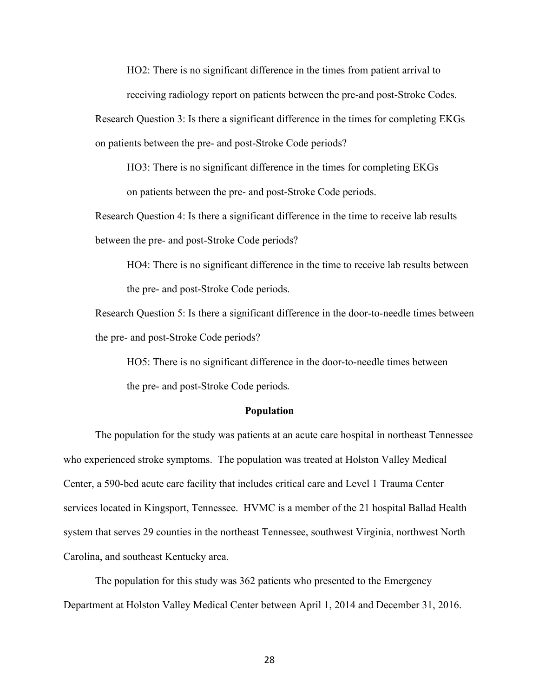HO2: There is no significant difference in the times from patient arrival to

receiving radiology report on patients between the pre-and post-Stroke Codes.

Research Question 3: Is there a significant difference in the times for completing EKGs on patients between the pre- and post-Stroke Code periods?

HO3: There is no significant difference in the times for completing EKGs on patients between the pre- and post-Stroke Code periods.

Research Question 4: Is there a significant difference in the time to receive lab results between the pre- and post-Stroke Code periods?

HO4: There is no significant difference in the time to receive lab results between the pre- and post-Stroke Code periods.

Research Question 5: Is there a significant difference in the door-to-needle times between the pre- and post-Stroke Code periods?

HO5: There is no significant difference in the door-to-needle times between the pre- and post-Stroke Code periods.

## **Population**

The population for the study was patients at an acute care hospital in northeast Tennessee who experienced stroke symptoms. The population was treated at Holston Valley Medical Center, a 590-bed acute care facility that includes critical care and Level 1 Trauma Center services located in Kingsport, Tennessee. HVMC is a member of the 21 hospital Ballad Health system that serves 29 counties in the northeast Tennessee, southwest Virginia, northwest North Carolina, and southeast Kentucky area.

The population for this study was 362 patients who presented to the Emergency Department at Holston Valley Medical Center between April 1, 2014 and December 31, 2016.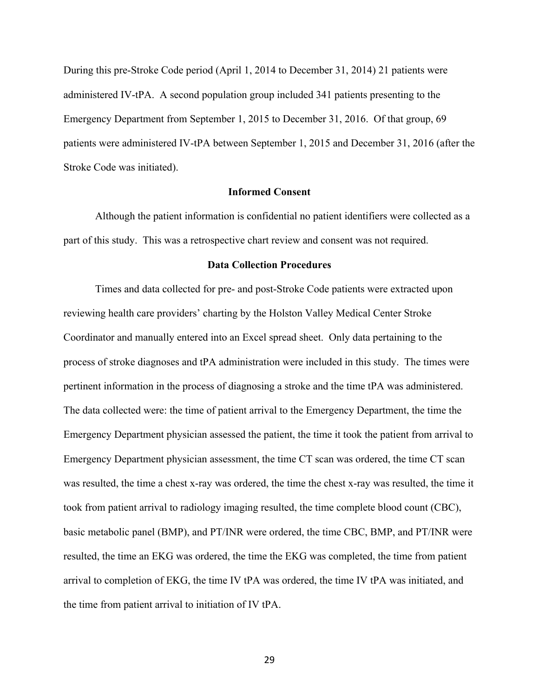During this pre-Stroke Code period (April 1, 2014 to December 31, 2014) 21 patients were administered IV-tPA. A second population group included 341 patients presenting to the Emergency Department from September 1, 2015 to December 31, 2016. Of that group, 69 patients were administered IV-tPA between September 1, 2015 and December 31, 2016 (after the Stroke Code was initiated).

## **Informed Consent**

Although the patient information is confidential no patient identifiers were collected as a part of this study. This was a retrospective chart review and consent was not required.

#### **Data Collection Procedures**

Times and data collected for pre- and post-Stroke Code patients were extracted upon reviewing health care providers' charting by the Holston Valley Medical Center Stroke Coordinator and manually entered into an Excel spread sheet. Only data pertaining to the process of stroke diagnoses and tPA administration were included in this study. The times were pertinent information in the process of diagnosing a stroke and the time tPA was administered. The data collected were: the time of patient arrival to the Emergency Department, the time the Emergency Department physician assessed the patient, the time it took the patient from arrival to Emergency Department physician assessment, the time CT scan was ordered, the time CT scan was resulted, the time a chest x-ray was ordered, the time the chest x-ray was resulted, the time it took from patient arrival to radiology imaging resulted, the time complete blood count (CBC), basic metabolic panel (BMP), and PT/INR were ordered, the time CBC, BMP, and PT/INR were resulted, the time an EKG was ordered, the time the EKG was completed, the time from patient arrival to completion of EKG, the time IV tPA was ordered, the time IV tPA was initiated, and the time from patient arrival to initiation of IV tPA.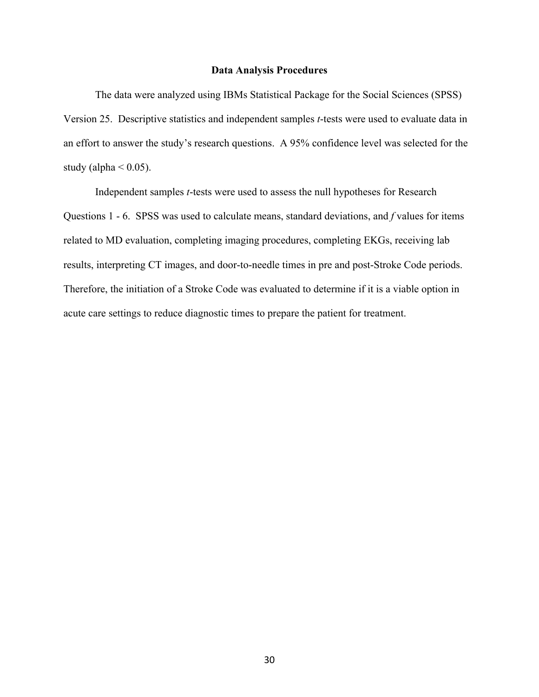#### **Data Analysis Procedures**

The data were analyzed using IBMs Statistical Package for the Social Sciences (SPSS) Version 25. Descriptive statistics and independent samples *t*-tests were used to evaluate data in an effort to answer the study's research questions. A 95% confidence level was selected for the study (alpha  $< 0.05$ ).

Independent samples *t*-tests were used to assess the null hypotheses for Research Questions 1 - 6. SPSS was used to calculate means, standard deviations, and *f* values for items related to MD evaluation, completing imaging procedures, completing EKGs, receiving lab results, interpreting CT images, and door-to-needle times in pre and post-Stroke Code periods. Therefore, the initiation of a Stroke Code was evaluated to determine if it is a viable option in acute care settings to reduce diagnostic times to prepare the patient for treatment.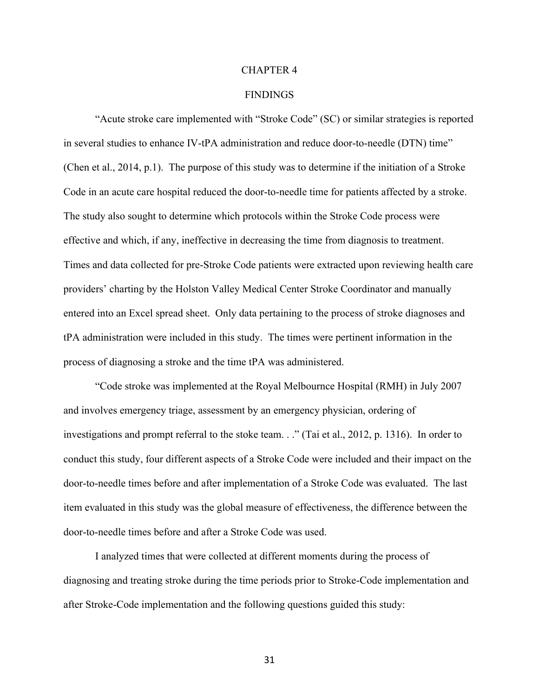#### CHAPTER 4

#### **FINDINGS**

"Acute stroke care implemented with "Stroke Code" (SC) or similar strategies is reported in several studies to enhance IV-tPA administration and reduce door-to-needle (DTN) time" (Chen et al., 2014, p.1). The purpose of this study was to determine if the initiation of a Stroke Code in an acute care hospital reduced the door-to-needle time for patients affected by a stroke. The study also sought to determine which protocols within the Stroke Code process were effective and which, if any, ineffective in decreasing the time from diagnosis to treatment. Times and data collected for pre-Stroke Code patients were extracted upon reviewing health care providers' charting by the Holston Valley Medical Center Stroke Coordinator and manually entered into an Excel spread sheet. Only data pertaining to the process of stroke diagnoses and tPA administration were included in this study. The times were pertinent information in the process of diagnosing a stroke and the time tPA was administered.

"Code stroke was implemented at the Royal Melbournce Hospital (RMH) in July 2007 and involves emergency triage, assessment by an emergency physician, ordering of investigations and prompt referral to the stoke team. . ." (Tai et al., 2012, p. 1316). In order to conduct this study, four different aspects of a Stroke Code were included and their impact on the door-to-needle times before and after implementation of a Stroke Code was evaluated. The last item evaluated in this study was the global measure of effectiveness, the difference between the door-to-needle times before and after a Stroke Code was used.

I analyzed times that were collected at different moments during the process of diagnosing and treating stroke during the time periods prior to Stroke-Code implementation and after Stroke-Code implementation and the following questions guided this study: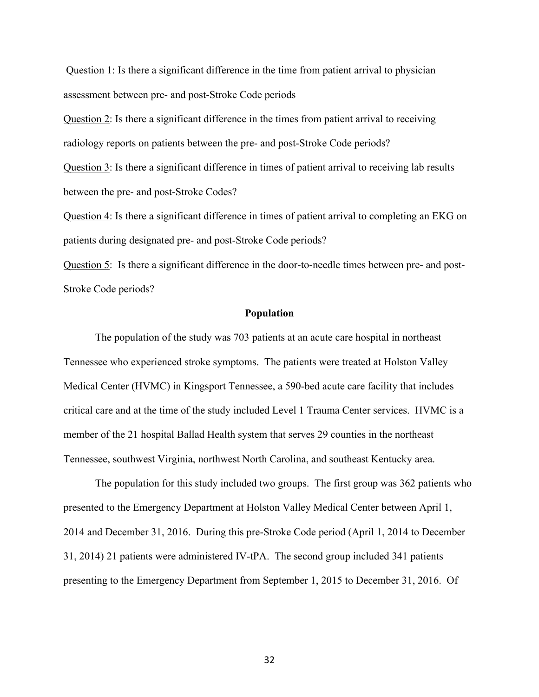Question 1: Is there a significant difference in the time from patient arrival to physician assessment between pre- and post-Stroke Code periods

Question 2: Is there a significant difference in the times from patient arrival to receiving radiology reports on patients between the pre- and post-Stroke Code periods?

Question 3: Is there a significant difference in times of patient arrival to receiving lab results between the pre- and post-Stroke Codes?

Question 4: Is there a significant difference in times of patient arrival to completing an EKG on patients during designated pre- and post-Stroke Code periods?

Question 5: Is there a significant difference in the door-to-needle times between pre- and post-Stroke Code periods?

#### **Population**

The population of the study was 703 patients at an acute care hospital in northeast Tennessee who experienced stroke symptoms. The patients were treated at Holston Valley Medical Center (HVMC) in Kingsport Tennessee, a 590-bed acute care facility that includes critical care and at the time of the study included Level 1 Trauma Center services. HVMC is a member of the 21 hospital Ballad Health system that serves 29 counties in the northeast Tennessee, southwest Virginia, northwest North Carolina, and southeast Kentucky area.

The population for this study included two groups. The first group was 362 patients who presented to the Emergency Department at Holston Valley Medical Center between April 1, 2014 and December 31, 2016. During this pre-Stroke Code period (April 1, 2014 to December 31, 2014) 21 patients were administered IV-tPA. The second group included 341 patients presenting to the Emergency Department from September 1, 2015 to December 31, 2016. Of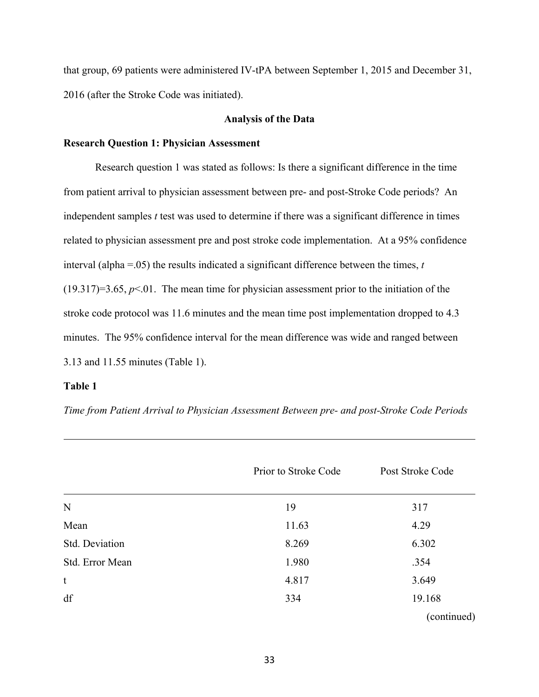that group, 69 patients were administered IV-tPA between September 1, 2015 and December 31, 2016 (after the Stroke Code was initiated).

## **Analysis of the Data**

#### **Research Question 1: Physician Assessment**

Research question 1 was stated as follows: Is there a significant difference in the time from patient arrival to physician assessment between pre- and post-Stroke Code periods? An independent samples *t* test was used to determine if there was a significant difference in times related to physician assessment pre and post stroke code implementation. At a 95% confidence interval (alpha =.05) the results indicated a significant difference between the times, *t*  $(19.317)=3.65, p<0.1$ . The mean time for physician assessment prior to the initiation of the stroke code protocol was 11.6 minutes and the mean time post implementation dropped to 4.3 minutes. The 95% confidence interval for the mean difference was wide and ranged between 3.13 and 11.55 minutes (Table 1).

## **Table 1**

*Time from Patient Arrival to Physician Assessment Between pre- and post-Stroke Code Periods*

|                 | Prior to Stroke Code | Post Stroke Code |
|-----------------|----------------------|------------------|
| ${\bf N}$       | 19                   | 317              |
| Mean            | 11.63                | 4.29             |
| Std. Deviation  | 8.269                | 6.302            |
| Std. Error Mean | 1.980                | .354             |
| $\mathbf t$     | 4.817                | 3.649            |
| df              | 334                  | 19.168           |
|                 |                      | (continued)      |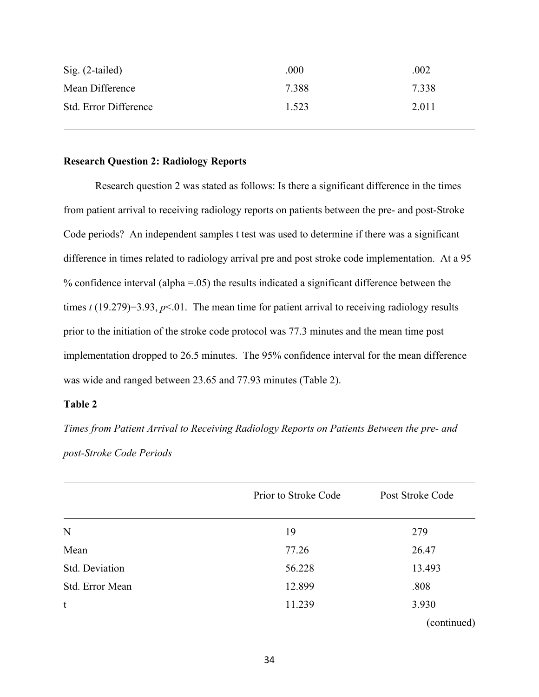| $Sig. (2-tailed)$     | .000  | .002  |
|-----------------------|-------|-------|
| Mean Difference       | 7.388 | 7.338 |
| Std. Error Difference | 1.523 | 2.011 |

## **Research Question 2: Radiology Reports**

Research question 2 was stated as follows: Is there a significant difference in the times from patient arrival to receiving radiology reports on patients between the pre- and post-Stroke Code periods? An independent samples t test was used to determine if there was a significant difference in times related to radiology arrival pre and post stroke code implementation. At a 95 % confidence interval (alpha  $= 0.05$ ) the results indicated a significant difference between the times  $t(19.279)=3.93, p<0.1$ . The mean time for patient arrival to receiving radiology results prior to the initiation of the stroke code protocol was 77.3 minutes and the mean time post implementation dropped to 26.5 minutes. The 95% confidence interval for the mean difference was wide and ranged between 23.65 and 77.93 minutes (Table 2).

## **Table 2**

*Times from Patient Arrival to Receiving Radiology Reports on Patients Between the pre- and post-Stroke Code Periods*

|                 | Prior to Stroke Code | Post Stroke Code |
|-----------------|----------------------|------------------|
| N               | 19                   | 279              |
| Mean            | 77.26                | 26.47            |
| Std. Deviation  | 56.228               | 13.493           |
| Std. Error Mean | 12.899               | .808             |
| t               | 11.239               | 3.930            |
|                 |                      | (continued)      |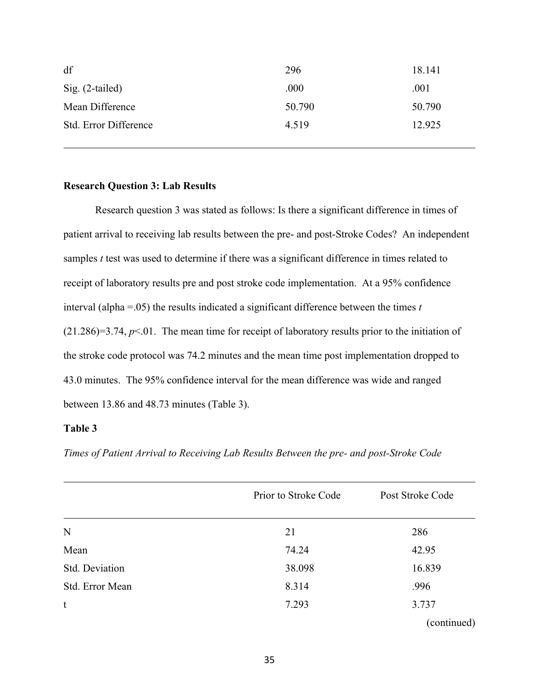| df                    | 296    | 18.141 |
|-----------------------|--------|--------|
| $Sig. (2-tailed)$     | .000   | .001   |
| Mean Difference       | 50.790 | 50.790 |
| Std. Error Difference | 4.519  | 12.925 |

## **Research Question 3: Lab Results**

Research question 3 was stated as follows: Is there a significant difference in times of patient arrival to receiving lab results between the pre- and post-Stroke Codes? An independent samples *t* test was used to determine if there was a significant difference in times related to receipt of laboratory results pre and post stroke code implementation. At a 95% confidence interval (alpha =.05) the results indicated a significant difference between the times *t* (21.286)=3.74, *p*<.01. The mean time for receipt of laboratory results prior to the initiation of the stroke code protocol was 74.2 minutes and the mean time post implementation dropped to 43.0 minutes. The 95% confidence interval for the mean difference was wide and ranged between 13.86 and 48.73 minutes (Table 3).

## **Table 3**

| Times of Patient Arrival to Receiving Lab Results Between the pre- and post-Stroke Code |  |
|-----------------------------------------------------------------------------------------|--|
|                                                                                         |  |

|                 | Prior to Stroke Code | Post Stroke Code |
|-----------------|----------------------|------------------|
| N               | 21                   | 286              |
| Mean            | 74.24                | 42.95            |
| Std. Deviation  | 38.098               | 16.839           |
| Std. Error Mean | 8.314                | .996             |
| t               | 7.293                | 3.737            |
|                 |                      | (continued)      |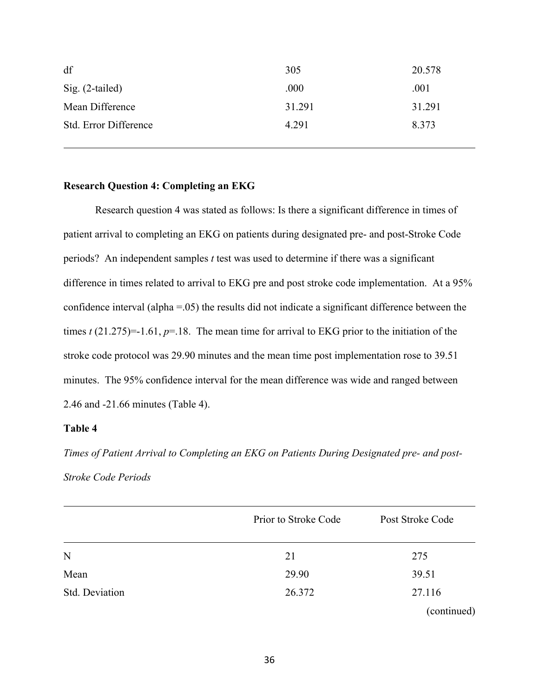| df                    | 305    | 20.578 |
|-----------------------|--------|--------|
| $Sig. (2-tailed)$     | .000   | .001   |
| Mean Difference       | 31.291 | 31.291 |
| Std. Error Difference | 4.291  | 8.373  |

## **Research Question 4: Completing an EKG**

Research question 4 was stated as follows: Is there a significant difference in times of patient arrival to completing an EKG on patients during designated pre- and post-Stroke Code periods? An independent samples *t* test was used to determine if there was a significant difference in times related to arrival to EKG pre and post stroke code implementation. At a 95% confidence interval (alpha =.05) the results did not indicate a significant difference between the times *t* (21.275)=-1.61, *p*=.18. The mean time for arrival to EKG prior to the initiation of the stroke code protocol was 29.90 minutes and the mean time post implementation rose to 39.51 minutes. The 95% confidence interval for the mean difference was wide and ranged between 2.46 and -21.66 minutes (Table 4).

## **Table 4**

*Times of Patient Arrival to Completing an EKG on Patients During Designated pre- and post-Stroke Code Periods*

|                | Prior to Stroke Code | Post Stroke Code |
|----------------|----------------------|------------------|
| N              | 21                   | 275              |
| Mean           | 29.90                | 39.51            |
| Std. Deviation | 26.372               | 27.116           |
|                |                      | (continued)      |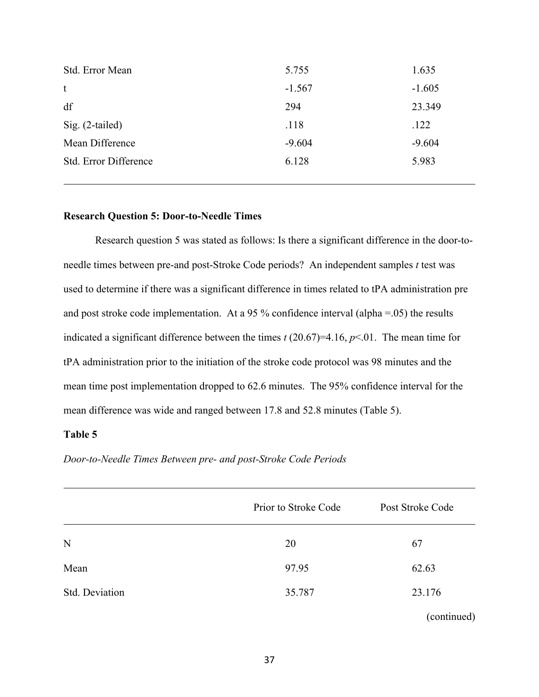| 5.755    | 1.635    |
|----------|----------|
| $-1.567$ | $-1.605$ |
| 294      | 23.349   |
| .118     | .122     |
| $-9.604$ | $-9.604$ |
| 6.128    | 5.983    |
|          |          |

## **Research Question 5: Door-to-Needle Times**

Research question 5 was stated as follows: Is there a significant difference in the door-toneedle times between pre-and post-Stroke Code periods? An independent samples *t* test was used to determine if there was a significant difference in times related to tPA administration pre and post stroke code implementation. At a 95 % confidence interval (alpha =  $.05$ ) the results indicated a significant difference between the times *t* (20.67)=4.16, *p*<.01. The mean time for tPA administration prior to the initiation of the stroke code protocol was 98 minutes and the mean time post implementation dropped to 62.6 minutes. The 95% confidence interval for the mean difference was wide and ranged between 17.8 and 52.8 minutes (Table 5).

## **Table 5**

*Door-to-Needle Times Between pre- and post-Stroke Code Periods*

|                | Prior to Stroke Code | Post Stroke Code |
|----------------|----------------------|------------------|
| N              | 20                   | 67               |
| Mean           | 97.95                | 62.63            |
| Std. Deviation | 35.787               | 23.176           |
|                |                      | (continued)      |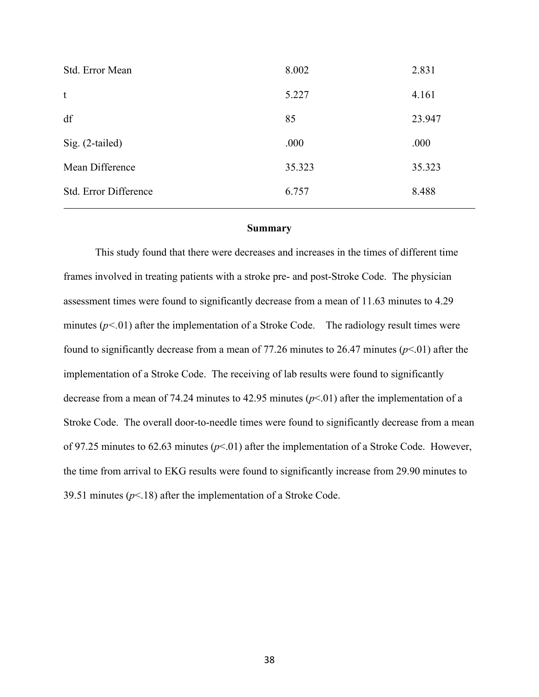| Std. Error Mean       | 8.002  | 2.831  |
|-----------------------|--------|--------|
| t                     | 5.227  | 4.161  |
| df                    | 85     | 23.947 |
| Sig. (2-tailed)       | .000   | .000   |
| Mean Difference       | 35.323 | 35.323 |
| Std. Error Difference | 6.757  | 8.488  |

#### **Summary**

This study found that there were decreases and increases in the times of different time frames involved in treating patients with a stroke pre- and post-Stroke Code. The physician assessment times were found to significantly decrease from a mean of 11.63 minutes to 4.29 minutes  $(p<0.01)$  after the implementation of a Stroke Code. The radiology result times were found to significantly decrease from a mean of 77.26 minutes to 26.47 minutes  $(p<0.01)$  after the implementation of a Stroke Code. The receiving of lab results were found to significantly decrease from a mean of 74.24 minutes to 42.95 minutes  $(p<0.01)$  after the implementation of a Stroke Code. The overall door-to-needle times were found to significantly decrease from a mean of 97.25 minutes to 62.63 minutes (*p*<.01) after the implementation of a Stroke Code. However, the time from arrival to EKG results were found to significantly increase from 29.90 minutes to 39.51 minutes (*p*<.18) after the implementation of a Stroke Code.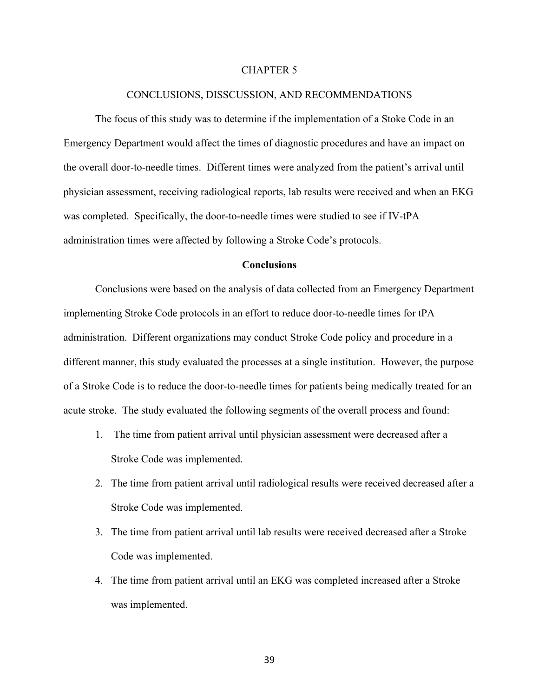#### CHAPTER 5

#### CONCLUSIONS, DISSCUSSION, AND RECOMMENDATIONS

The focus of this study was to determine if the implementation of a Stoke Code in an Emergency Department would affect the times of diagnostic procedures and have an impact on the overall door-to-needle times. Different times were analyzed from the patient's arrival until physician assessment, receiving radiological reports, lab results were received and when an EKG was completed. Specifically, the door-to-needle times were studied to see if IV-tPA administration times were affected by following a Stroke Code's protocols.

#### **Conclusions**

Conclusions were based on the analysis of data collected from an Emergency Department implementing Stroke Code protocols in an effort to reduce door-to-needle times for tPA administration. Different organizations may conduct Stroke Code policy and procedure in a different manner, this study evaluated the processes at a single institution. However, the purpose of a Stroke Code is to reduce the door-to-needle times for patients being medically treated for an acute stroke. The study evaluated the following segments of the overall process and found:

- 1. The time from patient arrival until physician assessment were decreased after a Stroke Code was implemented.
- 2. The time from patient arrival until radiological results were received decreased after a Stroke Code was implemented.
- 3. The time from patient arrival until lab results were received decreased after a Stroke Code was implemented.
- 4. The time from patient arrival until an EKG was completed increased after a Stroke was implemented.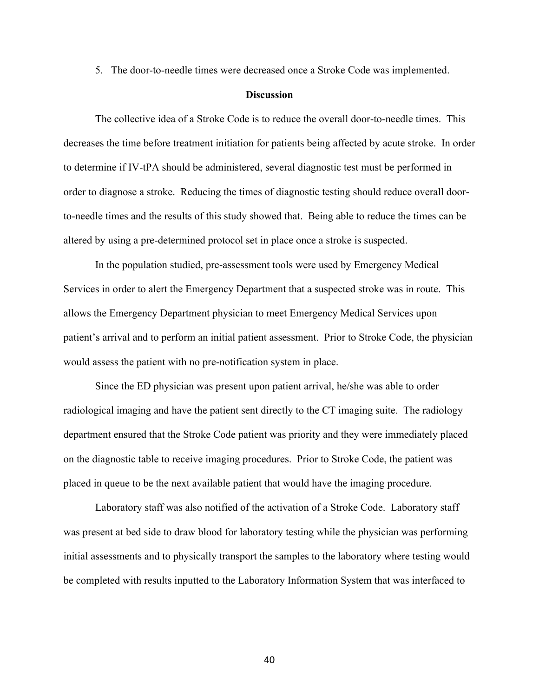5. The door-to-needle times were decreased once a Stroke Code was implemented.

#### **Discussion**

The collective idea of a Stroke Code is to reduce the overall door-to-needle times. This decreases the time before treatment initiation for patients being affected by acute stroke. In order to determine if IV-tPA should be administered, several diagnostic test must be performed in order to diagnose a stroke. Reducing the times of diagnostic testing should reduce overall doorto-needle times and the results of this study showed that. Being able to reduce the times can be altered by using a pre-determined protocol set in place once a stroke is suspected.

In the population studied, pre-assessment tools were used by Emergency Medical Services in order to alert the Emergency Department that a suspected stroke was in route. This allows the Emergency Department physician to meet Emergency Medical Services upon patient's arrival and to perform an initial patient assessment. Prior to Stroke Code, the physician would assess the patient with no pre-notification system in place.

Since the ED physician was present upon patient arrival, he/she was able to order radiological imaging and have the patient sent directly to the CT imaging suite. The radiology department ensured that the Stroke Code patient was priority and they were immediately placed on the diagnostic table to receive imaging procedures. Prior to Stroke Code, the patient was placed in queue to be the next available patient that would have the imaging procedure.

Laboratory staff was also notified of the activation of a Stroke Code. Laboratory staff was present at bed side to draw blood for laboratory testing while the physician was performing initial assessments and to physically transport the samples to the laboratory where testing would be completed with results inputted to the Laboratory Information System that was interfaced to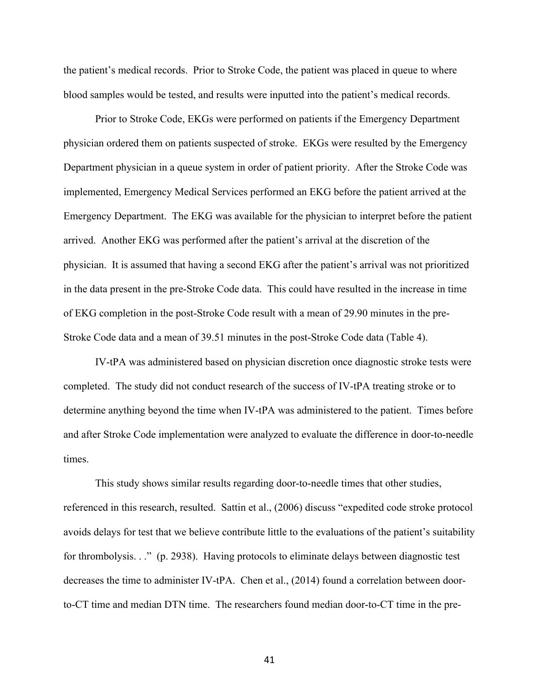the patient's medical records. Prior to Stroke Code, the patient was placed in queue to where blood samples would be tested, and results were inputted into the patient's medical records.

Prior to Stroke Code, EKGs were performed on patients if the Emergency Department physician ordered them on patients suspected of stroke. EKGs were resulted by the Emergency Department physician in a queue system in order of patient priority. After the Stroke Code was implemented, Emergency Medical Services performed an EKG before the patient arrived at the Emergency Department. The EKG was available for the physician to interpret before the patient arrived. Another EKG was performed after the patient's arrival at the discretion of the physician. It is assumed that having a second EKG after the patient's arrival was not prioritized in the data present in the pre-Stroke Code data. This could have resulted in the increase in time of EKG completion in the post-Stroke Code result with a mean of 29.90 minutes in the pre-Stroke Code data and a mean of 39.51 minutes in the post-Stroke Code data (Table 4).

IV-tPA was administered based on physician discretion once diagnostic stroke tests were completed. The study did not conduct research of the success of IV-tPA treating stroke or to determine anything beyond the time when IV-tPA was administered to the patient. Times before and after Stroke Code implementation were analyzed to evaluate the difference in door-to-needle times.

This study shows similar results regarding door-to-needle times that other studies, referenced in this research, resulted. Sattin et al., (2006) discuss "expedited code stroke protocol avoids delays for test that we believe contribute little to the evaluations of the patient's suitability for thrombolysis. . ." (p. 2938). Having protocols to eliminate delays between diagnostic test decreases the time to administer IV-tPA. Chen et al., (2014) found a correlation between doorto-CT time and median DTN time. The researchers found median door-to-CT time in the pre-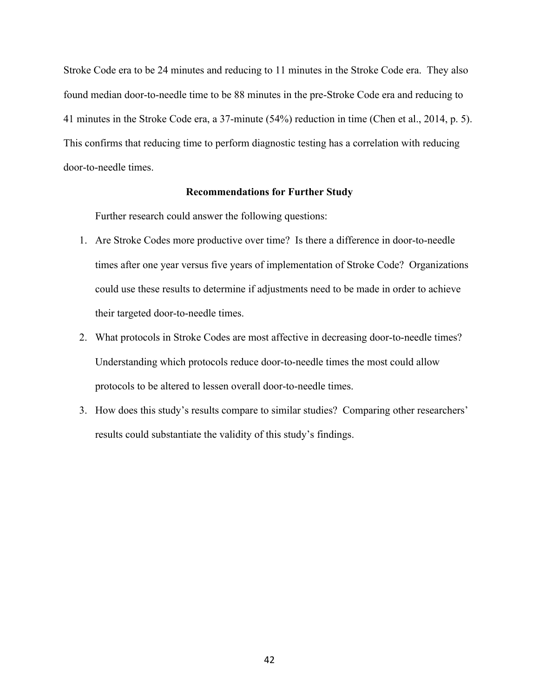Stroke Code era to be 24 minutes and reducing to 11 minutes in the Stroke Code era. They also found median door-to-needle time to be 88 minutes in the pre-Stroke Code era and reducing to 41 minutes in the Stroke Code era, a 37-minute (54%) reduction in time (Chen et al., 2014, p. 5). This confirms that reducing time to perform diagnostic testing has a correlation with reducing door-to-needle times.

## **Recommendations for Further Study**

Further research could answer the following questions:

- 1. Are Stroke Codes more productive over time? Is there a difference in door-to-needle times after one year versus five years of implementation of Stroke Code? Organizations could use these results to determine if adjustments need to be made in order to achieve their targeted door-to-needle times.
- 2. What protocols in Stroke Codes are most affective in decreasing door-to-needle times? Understanding which protocols reduce door-to-needle times the most could allow protocols to be altered to lessen overall door-to-needle times.
- 3. How does this study's results compare to similar studies? Comparing other researchers' results could substantiate the validity of this study's findings.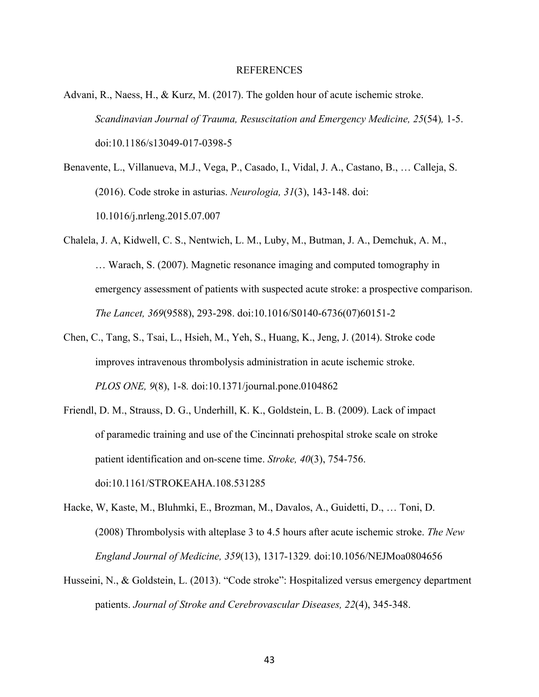#### REFERENCES

- Advani, R., Naess, H., & Kurz, M. (2017). The golden hour of acute ischemic stroke. *Scandinavian Journal of Trauma, Resuscitation and Emergency Medicine, 25*(54)*,* 1-5. doi:10.1186/s13049-017-0398-5
- Benavente, L., Villanueva, M.J., Vega, P., Casado, I., Vidal, J. A., Castano, B., … Calleja, S. (2016). Code stroke in asturias. *Neurologia, 31*(3), 143-148. doi: 10.1016/j.nrleng.2015.07.007
- Chalela, J. A, Kidwell, C. S., Nentwich, L. M., Luby, M., Butman, J. A., Demchuk, A. M., … Warach, S. (2007). Magnetic resonance imaging and computed tomography in emergency assessment of patients with suspected acute stroke: a prospective comparison. *The Lancet, 369*(9588), 293-298. doi:10.1016/S0140-6736(07)60151-2
- Chen, C., Tang, S., Tsai, L., Hsieh, M., Yeh, S., Huang, K., Jeng, J. (2014). Stroke code improves intravenous thrombolysis administration in acute ischemic stroke. *PLOS ONE, 9*(8), 1-8*.* doi:10.1371/journal.pone.0104862
- Friendl, D. M., Strauss, D. G., Underhill, K. K., Goldstein, L. B. (2009). Lack of impact of paramedic training and use of the Cincinnati prehospital stroke scale on stroke patient identification and on-scene time. *Stroke, 40*(3), 754-756. doi:10.1161/STROKEAHA.108.531285
- Hacke, W, Kaste, M., Bluhmki, E., Brozman, M., Davalos, A., Guidetti, D., … Toni, D. (2008) Thrombolysis with alteplase 3 to 4.5 hours after acute ischemic stroke. *The New England Journal of Medicine, 359*(13), 1317-1329*.* doi:10.1056/NEJMoa0804656
- Husseini, N., & Goldstein, L. (2013). "Code stroke": Hospitalized versus emergency department patients. *Journal of Stroke and Cerebrovascular Diseases, 22*(4), 345-348.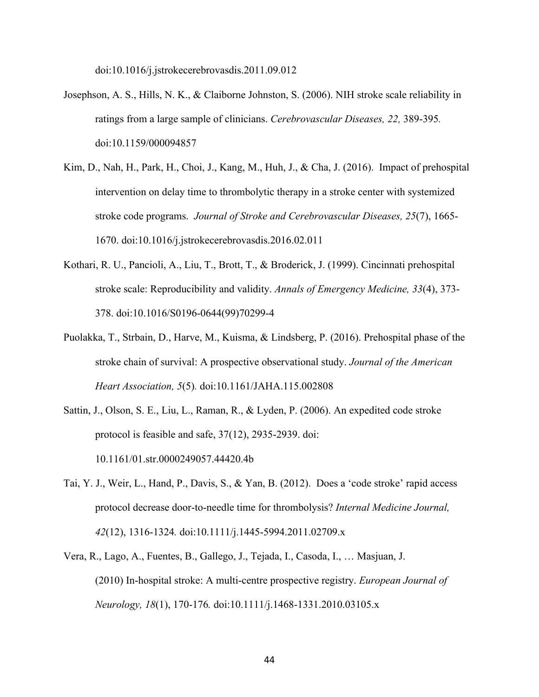doi:10.1016/j.jstrokecerebrovasdis.2011.09.012

- Josephson, A. S., Hills, N. K., & Claiborne Johnston, S. (2006). NIH stroke scale reliability in ratings from a large sample of clinicians. *Cerebrovascular Diseases, 22,* 389-395*.* doi:10.1159/000094857
- Kim, D., Nah, H., Park, H., Choi, J., Kang, M., Huh, J., & Cha, J. (2016). Impact of prehospital intervention on delay time to thrombolytic therapy in a stroke center with systemized stroke code programs. *Journal of Stroke and Cerebrovascular Diseases, 25*(7), 1665- 1670. doi:10.1016/j.jstrokecerebrovasdis.2016.02.011
- Kothari, R. U., Pancioli, A., Liu, T., Brott, T., & Broderick, J. (1999). Cincinnati prehospital stroke scale: Reproducibility and validity. *Annals of Emergency Medicine, 33*(4), 373- 378. doi:10.1016/S0196-0644(99)70299-4
- Puolakka, T., Strbain, D., Harve, M., Kuisma, & Lindsberg, P. (2016). Prehospital phase of the stroke chain of survival: A prospective observational study. *Journal of the American Heart Association, 5*(5)*.* doi:10.1161/JAHA.115.002808
- Sattin, J., Olson, S. E., Liu, L., Raman, R., & Lyden, P. (2006). An expedited code stroke protocol is feasible and safe, 37(12), 2935-2939. doi: 10.1161/01.str.0000249057.44420.4b
- Tai, Y. J., Weir, L., Hand, P., Davis, S., & Yan, B. (2012). Does a 'code stroke' rapid access protocol decrease door-to-needle time for thrombolysis? *Internal Medicine Journal, 42*(12), 1316-1324*.* doi:10.1111/j.1445-5994.2011.02709.x
- Vera, R., Lago, A., Fuentes, B., Gallego, J., Tejada, I., Casoda, I., … Masjuan, J. (2010) In-hospital stroke: A multi-centre prospective registry. *European Journal of Neurology, 18*(1), 170-176*.* doi:10.1111/j.1468-1331.2010.03105.x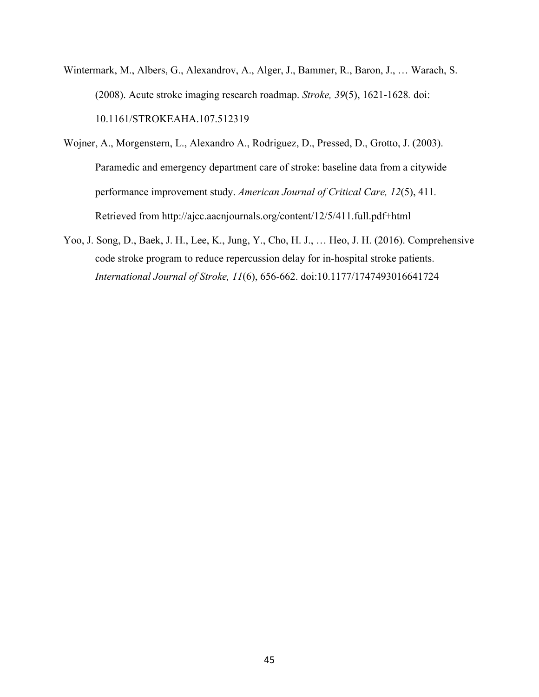- Wintermark, M., Albers, G., Alexandrov, A., Alger, J., Bammer, R., Baron, J., … Warach, S. (2008). Acute stroke imaging research roadmap. *Stroke, 39*(5), 1621-1628*.* doi: 10.1161/STROKEAHA.107.512319
- Wojner, A., Morgenstern, L., Alexandro A., Rodriguez, D., Pressed, D., Grotto, J. (2003). Paramedic and emergency department care of stroke: baseline data from a citywide performance improvement study. *American Journal of Critical Care, 12*(5), 411*.* Retrieved from http://ajcc.aacnjournals.org/content/12/5/411.full.pdf+html
- Yoo, J. Song, D., Baek, J. H., Lee, K., Jung, Y., Cho, H. J., … Heo, J. H. (2016). Comprehensive code stroke program to reduce repercussion delay for in-hospital stroke patients. *International Journal of Stroke, 11*(6), 656-662. doi:10.1177/1747493016641724